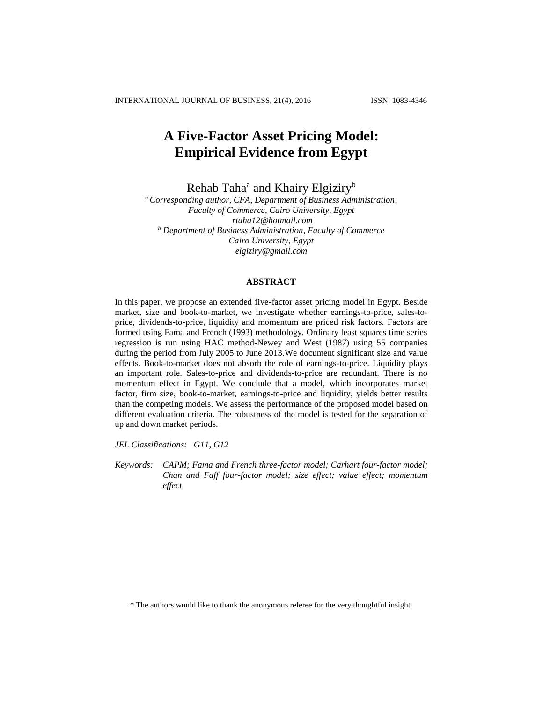INTERNATIONAL JOURNAL OF BUSINESS, 21(4), 2016 ISSN: 1083-4346

# **A Five-Factor Asset Pricing Model: Empirical Evidence from Egypt**

Rehab Taha<sup>a</sup> and Khairy Elgiziry<sup>b</sup>

*<sup>a</sup>Corresponding author, CFA, Department of Business Administration, Faculty of Commerce, Cairo University, Egypt [rtaha12@hotmail.com](mailto:rtaha12@hotmail.com) <sup>b</sup> Department of Business Administration, Faculty of Commerce Cairo University, Egypt elgiziry@gmail.com*

## **ABSTRACT**

In this paper, we propose an extended five-factor asset pricing model in Egypt. Beside market, size and book-to-market, we investigate whether earnings-to-price, sales-toprice, dividends-to-price, liquidity and momentum are priced risk factors. Factors are formed using Fama and French (1993) methodology. Ordinary least squares time series regression is run using HAC method-Newey and West (1987) using 55 companies during the period from July 2005 to June 2013.We document significant size and value effects. Book-to-market does not absorb the role of earnings-to-price. Liquidity plays an important role. Sales-to-price and dividends-to-price are redundant. There is no momentum effect in Egypt. We conclude that a model, which incorporates market factor, firm size, book-to-market, earnings-to-price and liquidity, yields better results than the competing models. We assess the performance of the proposed model based on different evaluation criteria. The robustness of the model is tested for the separation of up and down market periods.

*JEL Classifications: G11, G12*

*Keywords: CAPM; Fama and French three-factor model; Carhart four-factor model; Chan and Faff four-factor model; size effect; value effect; momentum effect*

\* The authors would like to thank the anonymous referee for the very thoughtful insight.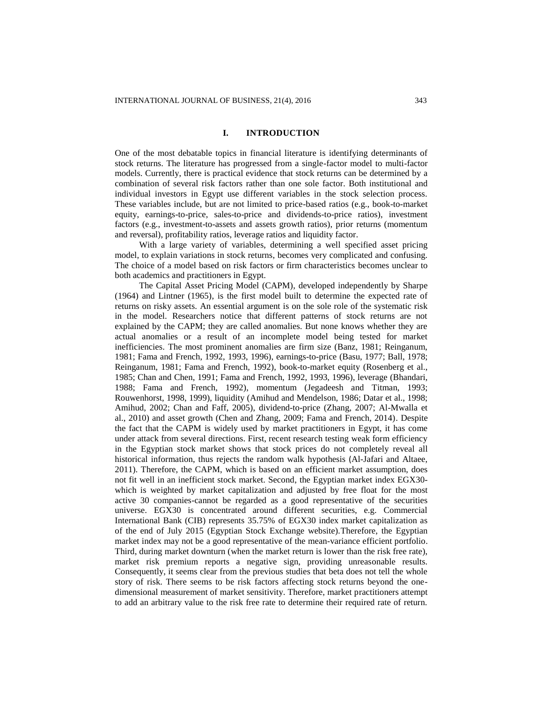## **I. INTRODUCTION**

One of the most debatable topics in financial literature is identifying determinants of stock returns. The literature has progressed from a single-factor model to multi-factor models. Currently, there is practical evidence that stock returns can be determined by a combination of several risk factors rather than one sole factor. Both institutional and individual investors in Egypt use different variables in the stock selection process. These variables include, but are not limited to price-based ratios (e.g., book-to-market equity, earnings-to-price, sales-to-price and dividends-to-price ratios), investment factors (e.g., investment-to-assets and assets growth ratios), prior returns (momentum and reversal), profitability ratios, leverage ratios and liquidity factor.

With a large variety of variables, determining a well specified asset pricing model, to explain variations in stock returns, becomes very complicated and confusing. The choice of a model based on risk factors or firm characteristics becomes unclear to both academics and practitioners in Egypt.

The Capital Asset Pricing Model (CAPM), developed independently by Sharpe (1964) and Lintner (1965), is the first model built to determine the expected rate of returns on risky assets. An essential argument is on the sole role of the systematic risk in the model. Researchers notice that different patterns of stock returns are not explained by the CAPM; they are called anomalies. But none knows whether they are actual anomalies or a result of an incomplete model being tested for market inefficiencies. The most prominent anomalies are firm size (Banz, 1981; Reinganum, 1981; Fama and French, 1992, 1993, 1996), earnings-to-price (Basu, 1977; Ball, 1978; Reinganum, 1981; Fama and French, 1992), book-to-market equity (Rosenberg et al., 1985; Chan and Chen, 1991; Fama and French, 1992, 1993, 1996), leverage (Bhandari, 1988; Fama and French, 1992), momentum (Jegadeesh and Titman, 1993; Rouwenhorst, 1998, 1999), liquidity (Amihud and Mendelson, 1986; Datar et al., 1998; Amihud, 2002; Chan and Faff, 2005), dividend-to-price (Zhang, 2007; Al-Mwalla et al., 2010) and asset growth (Chen and Zhang, 2009; Fama and French, 2014). Despite the fact that the CAPM is widely used by market practitioners in Egypt, it has come under attack from several directions. First, recent research testing weak form efficiency in the Egyptian stock market shows that stock prices do not completely reveal all historical information, thus rejects the random walk hypothesis (Al-Jafari and Altaee, 2011). Therefore, the CAPM, which is based on an efficient market assumption, does not fit well in an inefficient stock market. Second, the Egyptian market index EGX30 which is weighted by market capitalization and adjusted by free float for the most active 30 companies-cannot be regarded as a good representative of the securities universe. EGX30 is concentrated around different securities, e.g. Commercial International Bank (CIB) represents 35.75% of EGX30 index market capitalization as of the end of July 2015 (Egyptian Stock Exchange website).Therefore, the Egyptian market index may not be a good representative of the mean-variance efficient portfolio. Third, during market downturn (when the market return is lower than the risk free rate), market risk premium reports a negative sign, providing unreasonable results. Consequently, it seems clear from the previous studies that beta does not tell the whole story of risk. There seems to be risk factors affecting stock returns beyond the onedimensional measurement of market sensitivity. Therefore, market practitioners attempt to add an arbitrary value to the risk free rate to determine their required rate of return.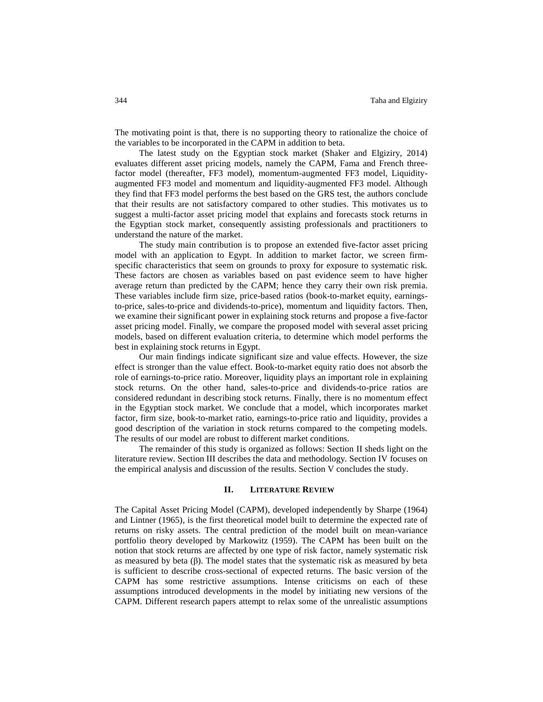The motivating point is that, there is no supporting theory to rationalize the choice of the variables to be incorporated in the CAPM in addition to beta.

The latest study on the Egyptian stock market (Shaker and Elgiziry, 2014) evaluates different asset pricing models, namely the CAPM, Fama and French threefactor model (thereafter, FF3 model), momentum-augmented FF3 model, Liquidityaugmented FF3 model and momentum and liquidity-augmented FF3 model. Although they find that FF3 model performs the best based on the GRS test, the authors conclude that their results are not satisfactory compared to other studies. This motivates us to suggest a multi-factor asset pricing model that explains and forecasts stock returns in the Egyptian stock market, consequently assisting professionals and practitioners to understand the nature of the market.

The study main contribution is to propose an extended five-factor asset pricing model with an application to Egypt. In addition to market factor, we screen firmspecific characteristics that seem on grounds to proxy for exposure to systematic risk. These factors are chosen as variables based on past evidence seem to have higher average return than predicted by the CAPM; hence they carry their own risk premia. These variables include firm size, price-based ratios (book-to-market equity, earningsto-price, sales-to-price and dividends-to-price), momentum and liquidity factors. Then, we examine their significant power in explaining stock returns and propose a five-factor asset pricing model. Finally, we compare the proposed model with several asset pricing models, based on different evaluation criteria, to determine which model performs the best in explaining stock returns in Egypt.

Our main findings indicate significant size and value effects. However, the size effect is stronger than the value effect. Book-to-market equity ratio does not absorb the role of earnings-to-price ratio. Moreover, liquidity plays an important role in explaining stock returns. On the other hand, sales-to-price and dividends-to-price ratios are considered redundant in describing stock returns. Finally, there is no momentum effect in the Egyptian stock market. We conclude that a model, which incorporates market factor, firm size, book-to-market ratio, earnings-to-price ratio and liquidity, provides a good description of the variation in stock returns compared to the competing models. The results of our model are robust to different market conditions.

The remainder of this study is organized as follows: Section II sheds light on the literature review. Section III describes the data and methodology. Section IV focuses on the empirical analysis and discussion of the results. Section V concludes the study.

#### **II. LITERATURE REVIEW**

The Capital Asset Pricing Model (CAPM), developed independently by Sharpe (1964) and Lintner (1965), is the first theoretical model built to determine the expected rate of returns on risky assets. The central prediction of the model built on mean-variance portfolio theory developed by Markowitz (1959). The CAPM has been built on the notion that stock returns are affected by one type of risk factor, namely systematic risk as measured by beta  $(\beta)$ . The model states that the systematic risk as measured by beta is sufficient to describe cross-sectional of expected returns. The basic version of the CAPM has some restrictive assumptions. Intense criticisms on each of these assumptions introduced developments in the model by initiating new versions of the CAPM. Different research papers attempt to relax some of the unrealistic assumptions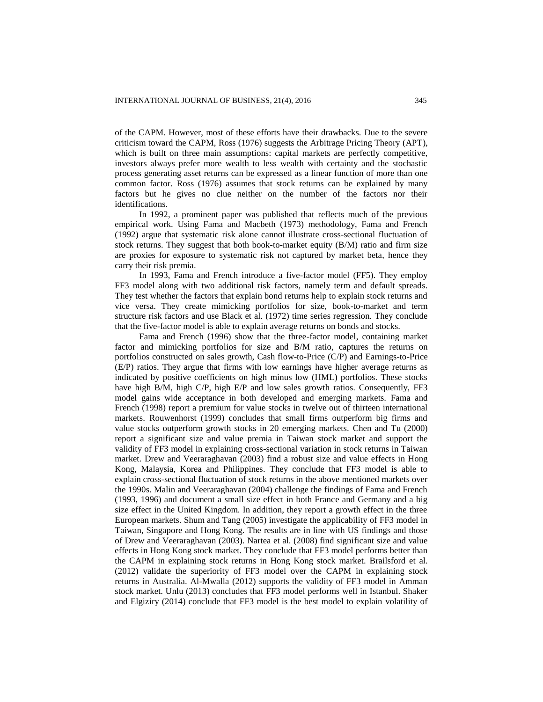of the CAPM. However, most of these efforts have their drawbacks. Due to the severe criticism toward the CAPM, Ross (1976) suggests the Arbitrage Pricing Theory (APT), which is built on three main assumptions: capital markets are perfectly competitive, investors always prefer more wealth to less wealth with certainty and the stochastic process generating asset returns can be expressed as a linear function of more than one common factor. Ross (1976) assumes that stock returns can be explained by many factors but he gives no clue neither on the number of the factors nor their identifications.

In 1992, a prominent paper was published that reflects much of the previous empirical work. Using Fama and Macbeth (1973) methodology, Fama and French (1992) argue that systematic risk alone cannot illustrate cross-sectional fluctuation of stock returns. They suggest that both book-to-market equity  $(B/M)$  ratio and firm size are proxies for exposure to systematic risk not captured by market beta, hence they carry their risk premia.

In 1993, Fama and French introduce a five-factor model (FF5). They employ FF3 model along with two additional risk factors, namely term and default spreads. They test whether the factors that explain bond returns help to explain stock returns and vice versa. They create mimicking portfolios for size, book-to-market and term structure risk factors and use Black et al. (1972) time series regression. They conclude that the five-factor model is able to explain average returns on bonds and stocks.

Fama and French (1996) show that the three-factor model, containing market factor and mimicking portfolios for size and B/M ratio, captures the returns on portfolios constructed on sales growth, Cash flow-to-Price (C/P) and Earnings-to-Price (E/P) ratios. They argue that firms with low earnings have higher average returns as indicated by positive coefficients on high minus low (HML) portfolios. These stocks have high B/M, high C/P, high E/P and low sales growth ratios. Consequently, FF3 model gains wide acceptance in both developed and emerging markets. Fama and French (1998) report a premium for value stocks in twelve out of thirteen international markets. Rouwenhorst (1999) concludes that small firms outperform big firms and value stocks outperform growth stocks in 20 emerging markets. Chen and Tu (2000) report a significant size and value premia in Taiwan stock market and support the validity of FF3 model in explaining cross-sectional variation in stock returns in Taiwan market. Drew and Veeraraghavan (2003) find a robust size and value effects in Hong Kong, Malaysia, Korea and Philippines. They conclude that FF3 model is able to explain cross-sectional fluctuation of stock returns in the above mentioned markets over the 1990s. Malin and Veeraraghavan (2004) challenge the findings of Fama and French (1993, 1996) and document a small size effect in both France and Germany and a big size effect in the United Kingdom. In addition, they report a growth effect in the three European markets. Shum and Tang (2005) investigate the applicability of FF3 model in Taiwan, Singapore and Hong Kong. The results are in line with US findings and those of Drew and Veeraraghavan (2003). Nartea et al. (2008) find significant size and value effects in Hong Kong stock market. They conclude that FF3 model performs better than the CAPM in explaining stock returns in Hong Kong stock market. Brailsford et al. (2012) validate the superiority of FF3 model over the CAPM in explaining stock returns in Australia. Al-Mwalla (2012) supports the validity of FF3 model in Amman stock market. Unlu (2013) concludes that FF3 model performs well in Istanbul. Shaker and Elgiziry (2014) conclude that FF3 model is the best model to explain volatility of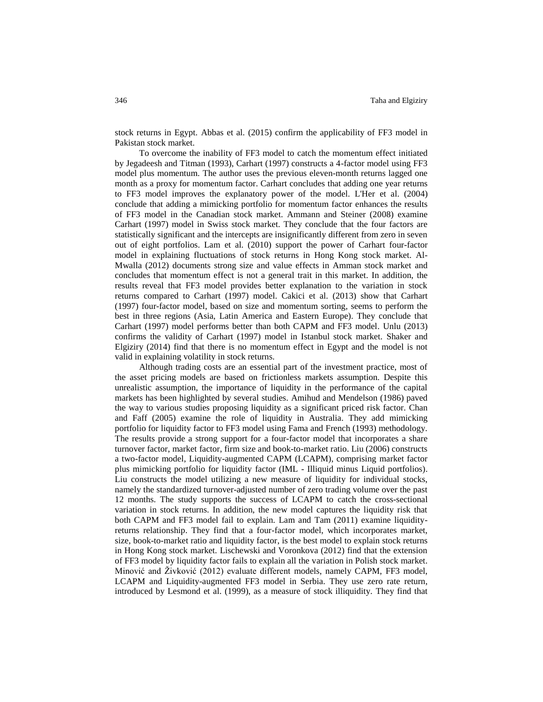stock returns in Egypt. Abbas et al. (2015) confirm the applicability of FF3 model in Pakistan stock market.

To overcome the inability of FF3 model to catch the momentum effect initiated by Jegadeesh and Titman (1993), Carhart (1997) constructs a 4-factor model using FF3 model plus momentum. The author uses the previous eleven-month returns lagged one month as a proxy for momentum factor. Carhart concludes that adding one year returns to FF3 model improves the explanatory power of the model. L'Her et al. (2004) conclude that adding a mimicking portfolio for momentum factor enhances the results of FF3 model in the Canadian stock market. Ammann and Steiner (2008) examine Carhart (1997) model in Swiss stock market. They conclude that the four factors are statistically significant and the intercepts are insignificantly different from zero in seven out of eight portfolios. Lam et al. (2010) support the power of Carhart four-factor model in explaining fluctuations of stock returns in Hong Kong stock market. Al-Mwalla (2012) documents strong size and value effects in Amman stock market and concludes that momentum effect is not a general trait in this market. In addition, the results reveal that FF3 model provides better explanation to the variation in stock returns compared to Carhart (1997) model. Cakici et al. (2013) show that Carhart (1997) four-factor model, based on size and momentum sorting, seems to perform the best in three regions (Asia, Latin America and Eastern Europe). They conclude that Carhart (1997) model performs better than both CAPM and FF3 model. Unlu (2013) confirms the validity of Carhart (1997) model in Istanbul stock market. Shaker and Elgiziry (2014) find that there is no momentum effect in Egypt and the model is not valid in explaining volatility in stock returns.

Although trading costs are an essential part of the investment practice, most of the asset pricing models are based on frictionless markets assumption. Despite this unrealistic assumption, the importance of liquidity in the performance of the capital markets has been highlighted by several studies. Amihud and Mendelson (1986) paved the way to various studies proposing liquidity as a significant priced risk factor. Chan and Faff (2005) examine the role of liquidity in Australia. They add mimicking portfolio for liquidity factor to FF3 model using Fama and French (1993) methodology. The results provide a strong support for a four-factor model that incorporates a share turnover factor, market factor, firm size and book-to-market ratio. Liu (2006) constructs a two-factor model, Liquidity-augmented CAPM (LCAPM), comprising market factor plus mimicking portfolio for liquidity factor (IML - Illiquid minus Liquid portfolios). Liu constructs the model utilizing a new measure of liquidity for individual stocks, namely the standardized turnover-adjusted number of zero trading volume over the past 12 months. The study supports the success of LCAPM to catch the cross-sectional variation in stock returns. In addition, the new model captures the liquidity risk that both CAPM and FF3 model fail to explain. Lam and Tam (2011) examine liquidityreturns relationship. They find that a four-factor model, which incorporates market, size, book-to-market ratio and liquidity factor, is the best model to explain stock returns in Hong Kong stock market. Lischewski and Voronkova (2012) find that the extension of FF3 model by liquidity factor fails to explain all the variation in Polish stock market. Minović and Živković (2012) evaluate different models, namely CAPM, FF3 model, LCAPM and Liquidity-augmented FF3 model in Serbia. They use zero rate return, introduced by Lesmond et al. (1999), as a measure of stock illiquidity. They find that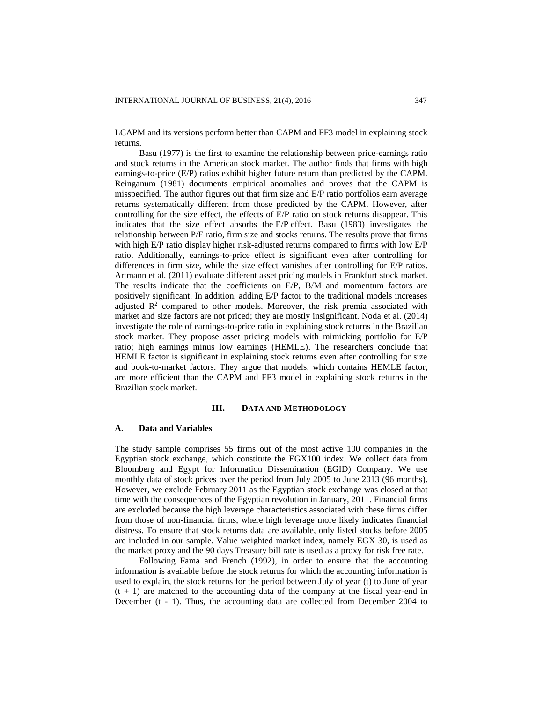LCAPM and its versions perform better than CAPM and FF3 model in explaining stock returns.

Basu (1977) is the first to examine the relationship between price-earnings ratio and stock returns in the American stock market. The author finds that firms with high earnings-to-price (E/P) ratios exhibit higher future return than predicted by the CAPM. Reinganum (1981) documents empirical anomalies and proves that the CAPM is misspecified. The author figures out that firm size and E/P ratio portfolios earn average returns systematically different from those predicted by the CAPM. However, after controlling for the size effect, the effects of E/P ratio on stock returns disappear. This indicates that the size effect absorbs the E/P effect. Basu (1983) investigates the relationship between P/E ratio, firm size and stocks returns. The results prove that firms with high E/P ratio display higher risk-adjusted returns compared to firms with low E/P ratio. Additionally, earnings-to-price effect is significant even after controlling for differences in firm size, while the size effect vanishes after controlling for E/P ratios. Artmann et al. (2011) evaluate different asset pricing models in Frankfurt stock market. The results indicate that the coefficients on E/P, B/M and momentum factors are positively significant. In addition, adding E/P factor to the traditional models increases adjusted  $\mathbb{R}^2$  compared to other models. Moreover, the risk premia associated with market and size factors are not priced; they are mostly insignificant. Noda et al. (2014) investigate the role of earnings-to-price ratio in explaining stock returns in the Brazilian stock market. They propose asset pricing models with mimicking portfolio for E/P ratio; high earnings minus low earnings (HEMLE). The researchers conclude that HEMLE factor is significant in explaining stock returns even after controlling for size and book-to-market factors. They argue that models, which contains HEMLE factor, are more efficient than the CAPM and FF3 model in explaining stock returns in the Brazilian stock market.

#### **III. DATA AND METHODOLOGY**

## **A. Data and Variables**

The study sample comprises 55 firms out of the most active 100 companies in the Egyptian stock exchange, which constitute the EGX100 index. We collect data from Bloomberg and Egypt for Information Dissemination (EGID) Company. We use monthly data of stock prices over the period from July 2005 to June 2013 (96 months). However, we exclude February 2011 as the Egyptian stock exchange was closed at that time with the consequences of the Egyptian revolution in January, 2011. Financial firms are excluded because the high leverage characteristics associated with these firms differ from those of non-financial firms, where high leverage more likely indicates financial distress. To ensure that stock returns data are available, only listed stocks before 2005 are included in our sample. Value weighted market index, namely EGX 30, is used as the market proxy and the 90 days Treasury bill rate is used as a proxy for risk free rate.

Following Fama and French (1992), in order to ensure that the accounting information is available before the stock returns for which the accounting information is used to explain, the stock returns for the period between July of year (t) to June of year  $(t + 1)$  are matched to the accounting data of the company at the fiscal year-end in December (t - 1). Thus, the accounting data are collected from December 2004 to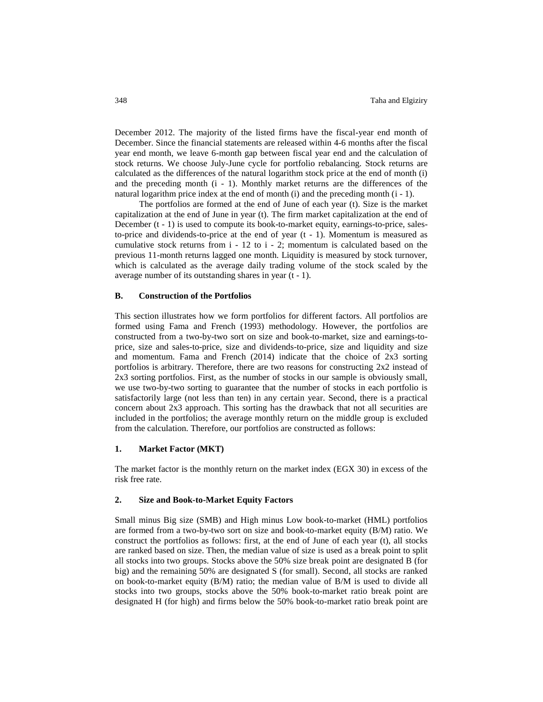December 2012. The majority of the listed firms have the fiscal-year end month of December. Since the financial statements are released within 4-6 months after the fiscal year end month, we leave 6-month gap between fiscal year end and the calculation of stock returns. We choose July-June cycle for portfolio rebalancing. Stock returns are calculated as the differences of the natural logarithm stock price at the end of month (i) and the preceding month (i - 1). Monthly market returns are the differences of the natural logarithm price index at the end of month  $(i)$  and the preceding month  $(i - 1)$ .

The portfolios are formed at the end of June of each year (t). Size is the market capitalization at the end of June in year (t). The firm market capitalization at the end of December (t - 1) is used to compute its book-to-market equity, earnings-to-price, salesto-price and dividends-to-price at the end of year  $(t - 1)$ . Momentum is measured as cumulative stock returns from i - 12 to i - 2; momentum is calculated based on the previous 11-month returns lagged one month. Liquidity is measured by stock turnover, which is calculated as the average daily trading volume of the stock scaled by the average number of its outstanding shares in year (t - 1).

#### **B. Construction of the Portfolios**

This section illustrates how we form portfolios for different factors. All portfolios are formed using Fama and French (1993) methodology. However, the portfolios are constructed from a two-by-two sort on size and book-to-market, size and earnings-toprice, size and sales-to-price, size and dividends-to-price, size and liquidity and size and momentum. Fama and French  $(2014)$  indicate that the choice of  $2x3$  sorting portfolios is arbitrary. Therefore, there are two reasons for constructing 2x2 instead of 2x3 sorting portfolios. First, as the number of stocks in our sample is obviously small, we use two-by-two sorting to guarantee that the number of stocks in each portfolio is satisfactorily large (not less than ten) in any certain year. Second, there is a practical concern about 2x3 approach. This sorting has the drawback that not all securities are included in the portfolios; the average monthly return on the middle group is excluded from the calculation. Therefore, our portfolios are constructed as follows:

## **1. Market Factor (MKT)**

The market factor is the monthly return on the market index (EGX 30) in excess of the risk free rate.

#### **2. Size and Book-to-Market Equity Factors**

Small minus Big size (SMB) and High minus Low book-to-market (HML) portfolios are formed from a two-by-two sort on size and book-to-market equity (B/M) ratio. We construct the portfolios as follows: first, at the end of June of each year (t), all stocks are ranked based on size. Then, the median value of size is used as a break point to split all stocks into two groups. Stocks above the 50% size break point are designated B (for big) and the remaining 50% are designated S (for small). Second, all stocks are ranked on book-to-market equity (B/M) ratio; the median value of B/M is used to divide all stocks into two groups, stocks above the 50% book-to-market ratio break point are designated H (for high) and firms below the 50% book-to-market ratio break point are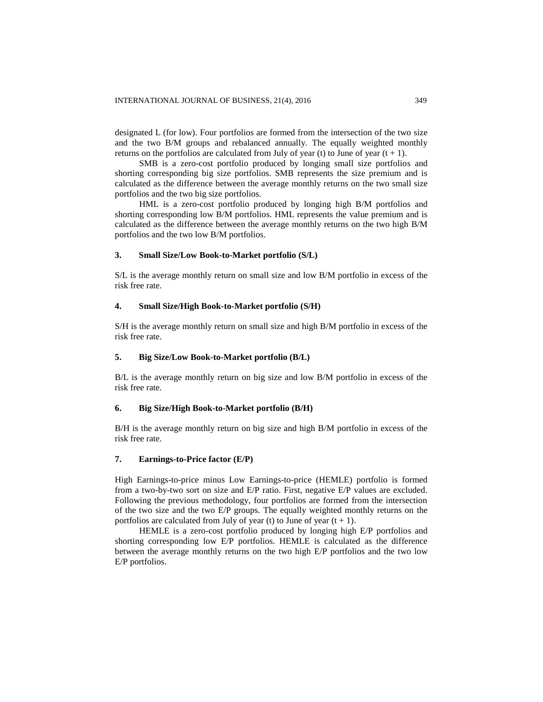designated L (for low). Four portfolios are formed from the intersection of the two size and the two B/M groups and rebalanced annually. The equally weighted monthly returns on the portfolios are calculated from July of year (t) to June of year  $(t + 1)$ .

SMB is a zero-cost portfolio produced by longing small size portfolios and shorting corresponding big size portfolios. SMB represents the size premium and is calculated as the difference between the average monthly returns on the two small size portfolios and the two big size portfolios.

HML is a zero-cost portfolio produced by longing high B/M portfolios and shorting corresponding low B/M portfolios. HML represents the value premium and is calculated as the difference between the average monthly returns on the two high B/M portfolios and the two low B/M portfolios.

#### **3. Small Size/Low Book-to-Market portfolio (S/L)**

S/L is the average monthly return on small size and low B/M portfolio in excess of the risk free rate.

#### **4. Small Size/High Book-to-Market portfolio (S/H)**

S/H is the average monthly return on small size and high B/M portfolio in excess of the risk free rate.

#### **5. Big Size/Low Book-to-Market portfolio (B/L)**

B/L is the average monthly return on big size and low B/M portfolio in excess of the risk free rate.

## **6. Big Size/High Book-to-Market portfolio (B/H)**

B/H is the average monthly return on big size and high B/M portfolio in excess of the risk free rate.

# **7. Earnings-to-Price factor (E/P)**

High Earnings-to-price minus Low Earnings-to-price (HEMLE) portfolio is formed from a two-by-two sort on size and E/P ratio. First, negative E/P values are excluded. Following the previous methodology, four portfolios are formed from the intersection of the two size and the two E/P groups. The equally weighted monthly returns on the portfolios are calculated from July of year (t) to June of year  $(t + 1)$ .

HEMLE is a zero-cost portfolio produced by longing high E/P portfolios and shorting corresponding low E/P portfolios. HEMLE is calculated as the difference between the average monthly returns on the two high E/P portfolios and the two low E/P portfolios.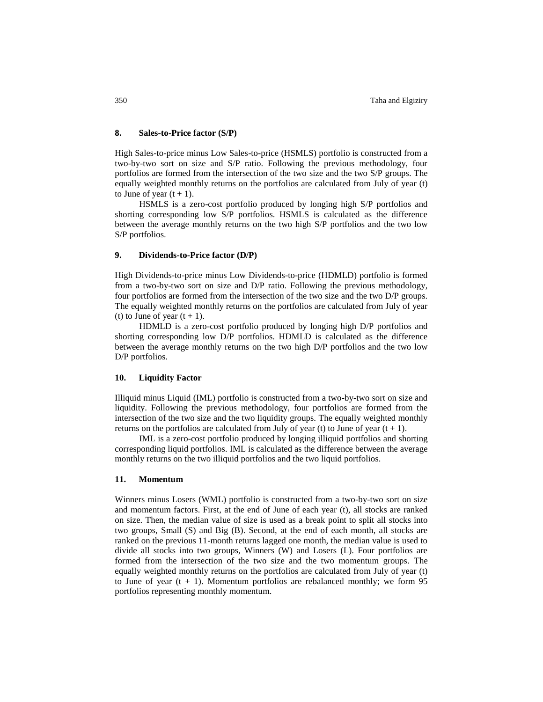## **8. Sales-to-Price factor (S/P)**

High Sales-to-price minus Low Sales-to-price (HSMLS) portfolio is constructed from a two-by-two sort on size and S/P ratio. Following the previous methodology, four portfolios are formed from the intersection of the two size and the two S/P groups. The equally weighted monthly returns on the portfolios are calculated from July of year (t) to June of year  $(t + 1)$ .

HSMLS is a zero-cost portfolio produced by longing high S/P portfolios and shorting corresponding low S/P portfolios. HSMLS is calculated as the difference between the average monthly returns on the two high S/P portfolios and the two low S/P portfolios.

#### **9. Dividends-to-Price factor (D/P)**

High Dividends-to-price minus Low Dividends-to-price (HDMLD) portfolio is formed from a two-by-two sort on size and D/P ratio. Following the previous methodology, four portfolios are formed from the intersection of the two size and the two D/P groups. The equally weighted monthly returns on the portfolios are calculated from July of year (t) to June of year  $(t + 1)$ .

HDMLD is a zero-cost portfolio produced by longing high D/P portfolios and shorting corresponding low D/P portfolios. HDMLD is calculated as the difference between the average monthly returns on the two high D/P portfolios and the two low D/P portfolios.

#### **10. Liquidity Factor**

Illiquid minus Liquid (IML) portfolio is constructed from a two-by-two sort on size and liquidity. Following the previous methodology, four portfolios are formed from the intersection of the two size and the two liquidity groups. The equally weighted monthly returns on the portfolios are calculated from July of year (t) to June of year  $(t + 1)$ .

IML is a zero-cost portfolio produced by longing illiquid portfolios and shorting corresponding liquid portfolios. IML is calculated as the difference between the average monthly returns on the two illiquid portfolios and the two liquid portfolios.

#### **11. Momentum**

Winners minus Losers (WML) portfolio is constructed from a two-by-two sort on size and momentum factors. First, at the end of June of each year (t), all stocks are ranked on size. Then, the median value of size is used as a break point to split all stocks into two groups, Small (S) and Big (B). Second, at the end of each month, all stocks are ranked on the previous 11-month returns lagged one month, the median value is used to divide all stocks into two groups, Winners (W) and Losers (L). Four portfolios are formed from the intersection of the two size and the two momentum groups. The equally weighted monthly returns on the portfolios are calculated from July of year (t) to June of year  $(t + 1)$ . Momentum portfolios are rebalanced monthly; we form 95 portfolios representing monthly momentum.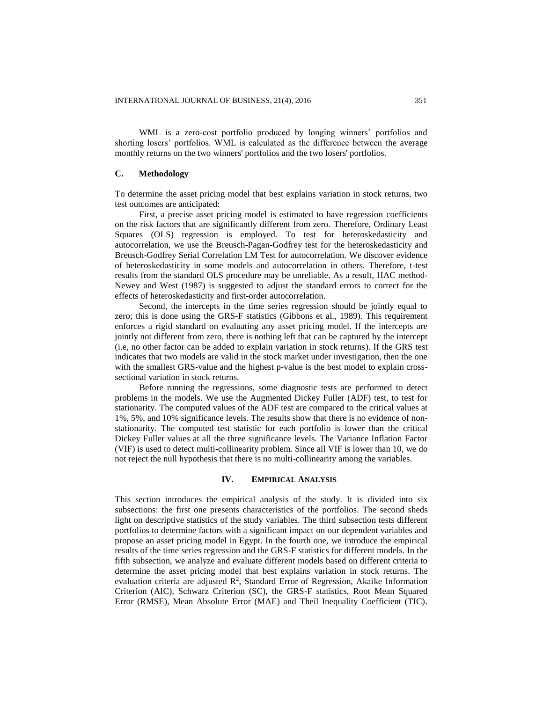WML is a zero-cost portfolio produced by longing winners' portfolios and shorting losers' portfolios. WML is calculated as the difference between the average monthly returns on the two winners' portfolios and the two losers' portfolios.

## **C. Methodology**

To determine the asset pricing model that best explains variation in stock returns, two test outcomes are anticipated:

First, a precise asset pricing model is estimated to have regression coefficients on the risk factors that are significantly different from zero. Therefore, Ordinary Least Squares (OLS) regression is employed. To test for heteroskedasticity and autocorrelation, we use the Breusch-Pagan-Godfrey test for the heteroskedasticity and Breusch-Godfrey Serial Correlation LM Test for autocorrelation. We discover evidence of heteroskedasticity in some models and autocorrelation in others. Therefore, t-test results from the standard OLS procedure may be unreliable. As a result, HAC method-Newey and West (1987) is suggested to adjust the standard errors to correct for the effects of heteroskedasticity and first-order autocorrelation.

Second, the intercepts in the time series regression should be jointly equal to zero; this is done using the GRS-F statistics (Gibbons et al., 1989). This requirement enforces a rigid standard on evaluating any asset pricing model. If the intercepts are jointly not different from zero, there is nothing left that can be captured by the intercept (i.e, no other factor can be added to explain variation in stock returns). If the GRS test indicates that two models are valid in the stock market under investigation, then the one with the smallest GRS-value and the highest p-value is the best model to explain crosssectional variation in stock returns.

Before running the regressions, some diagnostic tests are performed to detect problems in the models. We use the Augmented Dickey Fuller (ADF) test, to test for stationarity. The computed values of the ADF test are compared to the critical values at 1%, 5%, and 10% significance levels. The results show that there is no evidence of nonstationarity. The computed test statistic for each portfolio is lower than the critical Dickey Fuller values at all the three significance levels. The Variance Inflation Factor (VIF) is used to detect multi-collinearity problem. Since all VIF is lower than 10, we do not reject the null hypothesis that there is no multi-collinearity among the variables.

#### **IV. EMPIRICAL ANALYSIS**

This section introduces the empirical analysis of the study. It is divided into six subsections: the first one presents characteristics of the portfolios. The second sheds light on descriptive statistics of the study variables. The third subsection tests different portfolios to determine factors with a significant impact on our dependent variables and propose an asset pricing model in Egypt. In the fourth one, we introduce the empirical results of the time series regression and the GRS-F statistics for different models. In the fifth subsection, we analyze and evaluate different models based on different criteria to determine the asset pricing model that best explains variation in stock returns. The evaluation criteria are adjusted  $\mathbb{R}^2$ , Standard Error of Regression, Akaike Information Criterion (AIC), Schwarz Criterion (SC), the GRS-F statistics, Root Mean Squared Error (RMSE), Mean Absolute Error (MAE) and Theil Inequality Coefficient (TIC).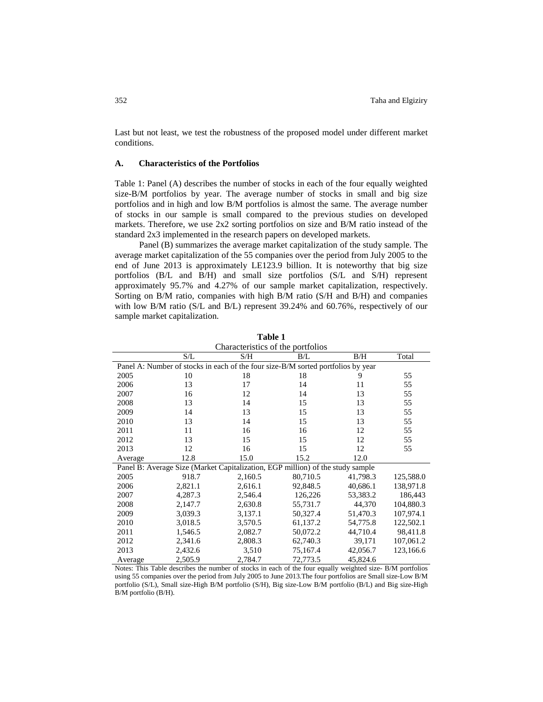Last but not least, we test the robustness of the proposed model under different market conditions.

## **A. Characteristics of the Portfolios**

Table 1: Panel (A) describes the number of stocks in each of the four equally weighted size-B/M portfolios by year. The average number of stocks in small and big size portfolios and in high and low B/M portfolios is almost the same. The average number of stocks in our sample is small compared to the previous studies on developed markets. Therefore, we use 2x2 sorting portfolios on size and B/M ratio instead of the standard 2x3 implemented in the research papers on developed markets.

Panel (B) summarizes the average market capitalization of the study sample. The average market capitalization of the 55 companies over the period from July 2005 to the end of June 2013 is approximately LE123.9 billion. It is noteworthy that big size portfolios (B/L and B/H) and small size portfolios (S/L and S/H) represent approximately 95.7% and 4.27% of our sample market capitalization, respectively. Sorting on B/M ratio, companies with high B/M ratio (S/H and B/H) and companies with low B/M ratio (S/L and B/L) represent 39.24% and 60.76%, respectively of our sample market capitalization.

| Characteristics of the portfolios                                                |         |                                                                                |          |          |           |  |  |  |
|----------------------------------------------------------------------------------|---------|--------------------------------------------------------------------------------|----------|----------|-----------|--|--|--|
|                                                                                  | S/L     | S/H                                                                            | B/L      | B/H      | Total     |  |  |  |
| Panel A: Number of stocks in each of the four size-B/M sorted portfolios by year |         |                                                                                |          |          |           |  |  |  |
| 2005                                                                             | 10      | 18                                                                             | 18       | 9        | 55        |  |  |  |
| 2006                                                                             | 13      | 17                                                                             | 14       | 11       | 55        |  |  |  |
| 2007                                                                             | 16      | 12                                                                             | 14       | 13       | 55        |  |  |  |
| 2008                                                                             | 13      | 14                                                                             | 15       | 13       | 55        |  |  |  |
| 2009                                                                             | 14      | 13                                                                             | 15       | 13       | 55        |  |  |  |
| 2010                                                                             | 13      | 14                                                                             | 15       | 13       | 55        |  |  |  |
| 2011                                                                             | 11      | 16                                                                             | 16       | 12       | 55        |  |  |  |
| 2012                                                                             | 13      | 15                                                                             | 15       | 12       | 55        |  |  |  |
| 2013                                                                             | 12      | 16                                                                             | 15       | 12       | 55        |  |  |  |
| Average                                                                          | 12.8    | 15.0                                                                           | 15.2     | 12.0     |           |  |  |  |
|                                                                                  |         | Panel B: Average Size (Market Capitalization, EGP million) of the study sample |          |          |           |  |  |  |
| 2005                                                                             | 918.7   | 2,160.5                                                                        | 80,710.5 | 41,798.3 | 125,588.0 |  |  |  |
| 2006                                                                             | 2,821.1 | 2,616.1                                                                        | 92,848.5 | 40,686.1 | 138,971.8 |  |  |  |
| 2007                                                                             | 4,287.3 | 2,546.4                                                                        | 126,226  | 53,383.2 | 186,443   |  |  |  |
| 2008                                                                             | 2,147.7 | 2,630.8                                                                        | 55,731.7 | 44,370   | 104,880.3 |  |  |  |
| 2009                                                                             | 3,039.3 | 3,137.1                                                                        | 50,327.4 | 51,470.3 | 107,974.1 |  |  |  |
| 2010                                                                             | 3,018.5 | 3,570.5                                                                        | 61,137.2 | 54,775.8 | 122,502.1 |  |  |  |
| 2011                                                                             | 1,546.5 | 2,082.7                                                                        | 50,072.2 | 44,710.4 | 98,411.8  |  |  |  |
| 2012                                                                             | 2,341.6 | 2,808.3                                                                        | 62,740.3 | 39,171   | 107,061.2 |  |  |  |
| 2013                                                                             | 2,432.6 | 3,510                                                                          | 75,167.4 | 42,056.7 | 123,166.6 |  |  |  |
| Average                                                                          | 2,505.9 | 2,784.7                                                                        | 72,773.5 | 45,824.6 |           |  |  |  |

**Table 1**

Notes: This Table describes the number of stocks in each of the four equally weighted size- B/M portfolios using 55 companies over the period from July 2005 to June 2013.The four portfolios are Small size-Low B/M portfolio (S/L), Small size-High B/M portfolio (S/H), Big size-Low B/M portfolio (B/L) and Big size-High B/M portfolio (B/H).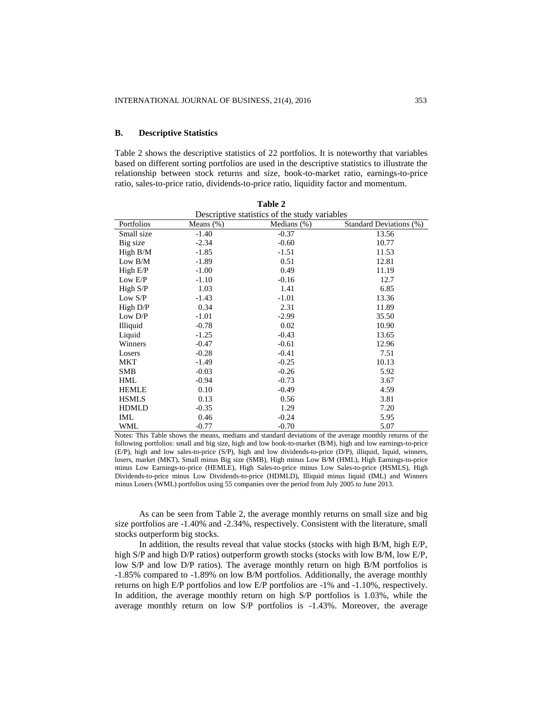## **B. Descriptive Statistics**

Table 2 shows the descriptive statistics of 22 portfolios. It is noteworthy that variables based on different sorting portfolios are used in the descriptive statistics to illustrate the relationship between stock returns and size, book-to-market ratio, earnings-to-price ratio, sales-to-price ratio, dividends-to-price ratio, liquidity factor and momentum.

| <b>Table 2</b> |                                               |                |                         |  |  |  |  |  |
|----------------|-----------------------------------------------|----------------|-------------------------|--|--|--|--|--|
|                | Descriptive statistics of the study variables |                |                         |  |  |  |  |  |
| Portfolios     | Means $(\%)$                                  | Medians $(\%)$ | Standard Deviations (%) |  |  |  |  |  |
| Small size     | $-1.40$                                       | $-0.37$        | 13.56                   |  |  |  |  |  |
| Big size       | $-2.34$                                       | $-0.60$        | 10.77                   |  |  |  |  |  |
| High B/M       | $-1.85$                                       | $-1.51$        | 11.53                   |  |  |  |  |  |
| Low $B/M$      | $-1.89$                                       | 0.51           | 12.81                   |  |  |  |  |  |
| High E/P       | $-1.00$                                       | 0.49           | 11.19                   |  |  |  |  |  |
| Low E/P        | $-1.10$                                       | $-0.16$        | 12.7                    |  |  |  |  |  |
| High S/P       | 1.03                                          | 1.41           | 6.85                    |  |  |  |  |  |
| Low S/P        | $-1.43$                                       | $-1.01$        | 13.36                   |  |  |  |  |  |
| High $D/P$     | 0.34                                          | 2.31           | 11.89                   |  |  |  |  |  |
| Low D/P        | $-1.01$                                       | $-2.99$        | 35.50                   |  |  |  |  |  |
| Illiquid       | $-0.78$                                       | 0.02           | 10.90                   |  |  |  |  |  |
| Liquid         | $-1.25$                                       | $-0.43$        | 13.65                   |  |  |  |  |  |
| Winners        | $-0.47$                                       | $-0.61$        | 12.96                   |  |  |  |  |  |
| Losers         | $-0.28$                                       | $-0.41$        | 7.51                    |  |  |  |  |  |
| MKT            | $-1.49$                                       | $-0.25$        | 10.13                   |  |  |  |  |  |
| <b>SMB</b>     | $-0.03$                                       | $-0.26$        | 5.92                    |  |  |  |  |  |
| <b>HML</b>     | $-0.94$                                       | $-0.73$        | 3.67                    |  |  |  |  |  |
| <b>HEMLE</b>   | 0.10                                          | $-0.49$        | 4.59                    |  |  |  |  |  |
| <b>HSMLS</b>   | 0.13                                          | 0.56           | 3.81                    |  |  |  |  |  |
| <b>HDMLD</b>   | $-0.35$                                       | 1.29           | 7.20                    |  |  |  |  |  |
| IML            | 0.46                                          | $-0.24$        | 5.95                    |  |  |  |  |  |
| WML            | $-0.77$                                       | $-0.70$        | 5.07                    |  |  |  |  |  |

Notes: This Table shows the means, medians and standard deviations of the average monthly returns of the following portfolios: small and big size, high and low book-to-market (B/M), high and low earnings-to-price (E/P), high and low sales-to-price (S/P), high and low dividends-to-price (D/P), illiquid, liquid, winners, losers, market (MKT), Small minus Big size (SMB), High minus Low B/M (HML), High Earnings-to-price minus Low Earnings-to-price (HEMLE), High Sales-to-price minus Low Sales-to-price (HSMLS), High Dividends-to-price minus Low Dividends-to-price (HDMLD), Illiquid minus liquid (IML) and Winners minus Losers (WML) portfolios using 55 companies over the period from July 2005 to June 2013.

As can be seen from Table 2, the average monthly returns on small size and big size portfolios are -1.40% and -2.34%, respectively. Consistent with the literature, small stocks outperform big stocks.

In addition, the results reveal that value stocks (stocks with high  $B/M$ , high  $E/P$ , high S/P and high D/P ratios) outperform growth stocks (stocks with low B/M, low E/P, low S/P and low D/P ratios). The average monthly return on high B/M portfolios is -1.85% compared to -1.89% on low B/M portfolios. Additionally, the average monthly returns on high E/P portfolios and low E/P portfolios are -1% and -1.10%, respectively. In addition, the average monthly return on high S/P portfolios is 1.03%, while the average monthly return on low S/P portfolios is -1.43%. Moreover, the average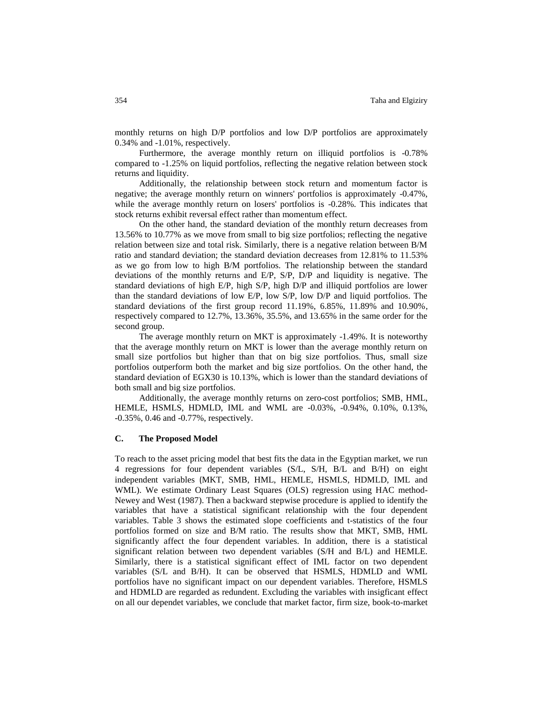monthly returns on high D/P portfolios and low D/P portfolios are approximately 0.34% and -1.01%, respectively.

Furthermore, the average monthly return on illiquid portfolios is -0.78% compared to -1.25% on liquid portfolios, reflecting the negative relation between stock returns and liquidity.

Additionally, the relationship between stock return and momentum factor is negative; the average monthly return on winners' portfolios is approximately -0.47%, while the average monthly return on losers' portfolios is -0.28%. This indicates that stock returns exhibit reversal effect rather than momentum effect.

On the other hand, the standard deviation of the monthly return decreases from 13.56% to 10.77% as we move from small to big size portfolios; reflecting the negative relation between size and total risk. Similarly, there is a negative relation between B/M ratio and standard deviation; the standard deviation decreases from 12.81% to 11.53% as we go from low to high B/M portfolios. The relationship between the standard deviations of the monthly returns and E/P, S/P, D/P and liquidity is negative. The standard deviations of high E/P, high S/P, high D/P and illiquid portfolios are lower than the standard deviations of low E/P, low S/P, low D/P and liquid portfolios. The standard deviations of the first group record 11.19%, 6.85%, 11.89% and 10.90%, respectively compared to 12.7%, 13.36%, 35.5%, and 13.65% in the same order for the second group.

The average monthly return on MKT is approximately -1.49%. It is noteworthy that the average monthly return on MKT is lower than the average monthly return on small size portfolios but higher than that on big size portfolios. Thus, small size portfolios outperform both the market and big size portfolios. On the other hand, the standard deviation of EGX30 is 10.13%, which is lower than the standard deviations of both small and big size portfolios.

Additionally, the average monthly returns on zero-cost portfolios; SMB, HML, HEMLE, HSMLS, HDMLD, IML and WML are -0.03%, -0.94%, 0.10%, 0.13%, -0.35%, 0.46 and -0.77%, respectively.

## **C. The Proposed Model**

To reach to the asset pricing model that best fits the data in the Egyptian market, we run 4 regressions for four dependent variables (S/L, S/H, B/L and B/H) on eight independent variables (MKT, SMB, HML, HEMLE, HSMLS, HDMLD, IML and WML). We estimate Ordinary Least Squares (OLS) regression using HAC method-Newey and West (1987). Then a backward stepwise procedure is applied to identify the variables that have a statistical significant relationship with the four dependent variables. Table 3 shows the estimated slope coefficients and t-statistics of the four portfolios formed on size and B/M ratio. The results show that MKT, SMB, HML significantly affect the four dependent variables. In addition, there is a statistical significant relation between two dependent variables (S/H and B/L) and HEMLE. Similarly, there is a statistical significant effect of IML factor on two dependent variables (S/L and B/H). It can be observed that HSMLS, HDMLD and WML portfolios have no significant impact on our dependent variables. Therefore, HSMLS and HDMLD are regarded as redundent. Excluding the variables with insigficant effect on all our dependet variables, we conclude that market factor, firm size, book-to-market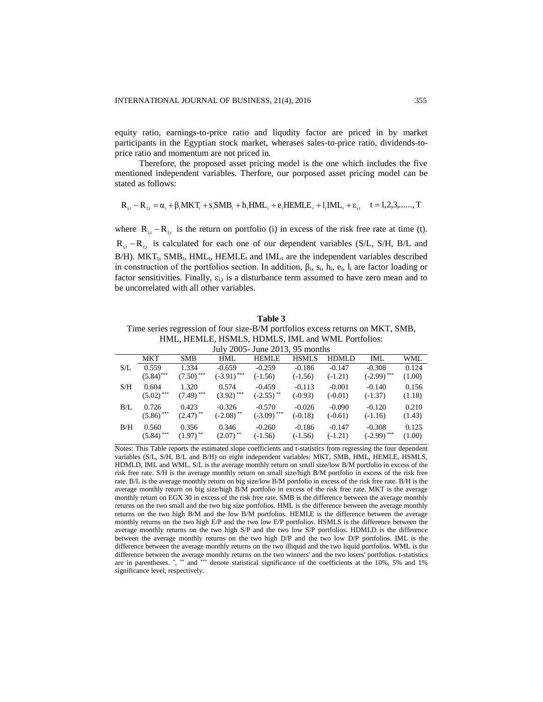equity ratio, earnings-to-price ratio and liqudity factor are priced in by market participants in the Egyptian stock market, wherases sales-to-price ratio, dividends-toprice ratio and momentum are not priced in.

Therefore, the proposed asset pricing model is the one which includes the five mentioned independent variables. Therfore, our porposed asset pricing model can be stated as follows:

$$
R_{i,t} - R_{f,t} = \alpha_i + \beta_i MKT_t + s_i SMB_t + h_i HML_t + e_i HEMLE_t + l_i IML_t + \epsilon_{i,t} \quad t = 1,2,3,......,T
$$

where  $R_{i,t} - R_{f,t}$  is the return on portfolio (i) in excess of the risk free rate at time (t).  $R_{i,t} - R_{f,t}$  is calculated for each one of our dependent variables (S/L, S/H, B/L and  $B/H$ ). MKT<sub>t</sub>, SMB<sub>t</sub>, HML<sub>t</sub>, HEMLE<sub>t</sub> and IML<sub>t</sub> are the independent variables described in construction of the portfolios section. In addition, βi, si, hi, ei, l<sup>i</sup> are factor loading or factor sensitivities. Finally,  $\varepsilon_{i,t}$  is a disturbance term assumed to have zero mean and to be uncorrelated with all other variables.

**Table 3** Time series regression of four size-B/M portfolios excess returns on MKT, SMB, HML, HEMLE, HSMLS, HDMLS, IML and WML Portfolios:

| July 2005 - June 2013, 95 months |              |                         |                         |                         |              |           |               |        |  |
|----------------------------------|--------------|-------------------------|-------------------------|-------------------------|--------------|-----------|---------------|--------|--|
|                                  | MKT          | <b>SMB</b>              | <b>HML</b>              | <b>HEMLE</b>            | <b>HSMLS</b> | HDMLD     | IML           | WML    |  |
| S/L                              | 0.559        | 1.334                   | $-0.659$                | $-0.259$                | $-0.186$     | $-0.147$  | $-0.308$      | 0.124  |  |
|                                  | $(5.84)$ *** | $(7.50)$ <sup>***</sup> | $(-3.91)$ ***           | $(-1.56)$               | $(-1.56)$    | $(-1.21)$ | $(-2.99)$ *** | (1.00) |  |
| S/H                              | 0.604        | 1.320                   | 0.574                   | $-0.459$                | $-0.113$     | $-0.001$  | $-0.140$      | 0.156  |  |
|                                  | $(5.02)$ *** | $(7.49)$ ***            | $(3.92)$ ***            | $(-2.55)$ <sup>**</sup> | $(-0.93)$    | $(-0.01)$ | $(-1.37)$     | (1.18) |  |
| B/L                              | 0.726        | 0.423                   | $-0.326$                | $-0.570$                | $-0.026$     | $-0.090$  | $-0.120$      | 0.210  |  |
|                                  | $(5.86)$ *** | $(2.47)$ <sup>**</sup>  | $(-2.08)$ <sup>**</sup> | $(-3.09)$ ***           | $(-0.18)$    | $(-0.61)$ | $(-1.16)$     | (1.43) |  |
| B/H                              | 0.560        | 0.356                   | 0.346                   | $-0.260$                | $-0.186$     | $-0.147$  | $-0.308$      | 0.125  |  |
|                                  | $(5.84)$ *** | $(1.97)$ <sup>**</sup>  | $(2.07)$ <sup>**</sup>  | $(-1.56)$               | $(-1.56)$    | $(-1.21)$ | $(-2.99)$ *** | (1.00) |  |

Notes: This Table reports the estimated slope coefficients and t-statistics from regressing the four dependent variables (S/L, S/H, B/L and B/H) on eight independent variables: MKT, SMB, HML, HEMLE, HSMLS, HDMLD, IML and WML. S/L is the average monthly return on small size/low B/M portfolio in excess of the risk free rate. S/H is the average monthly return on small size/high B/M portfolio in excess of the risk free rate. B/L is the average monthly return on big size/low B/M portfolio in excess of the risk free rate. B/H is the average monthly return on big size/high B/M portfolio in excess of the risk free rate. MKT is the average monthly return on EGX 30 in excess of the risk free rate. SMB is the difference between the average monthly returns on the two small and the two big size portfolios. HML is the difference between the average monthly returns on the two high B/M and the low B/M portfolios. HEMLE is the difference between the average monthly returns on the two high E/P and the two low E/P portfolios. HSMLS is the difference between the average monthly returns on the two high S/P and the two low S/P portfolios. HDMLD is the difference between the average monthly returns on the two high D/P and the two low D/P portfolios. IML is the difference between the average monthly returns on the two illiquid and the two liquid portfolios. WML is the difference between the average monthly returns on the two winners' and the two losers' portfolios. t-statistics are in parentheses. \*, \*\* and \*\*\* denote statistical significance of the coefficients at the 10%, 5% and 1% significance level, respectively.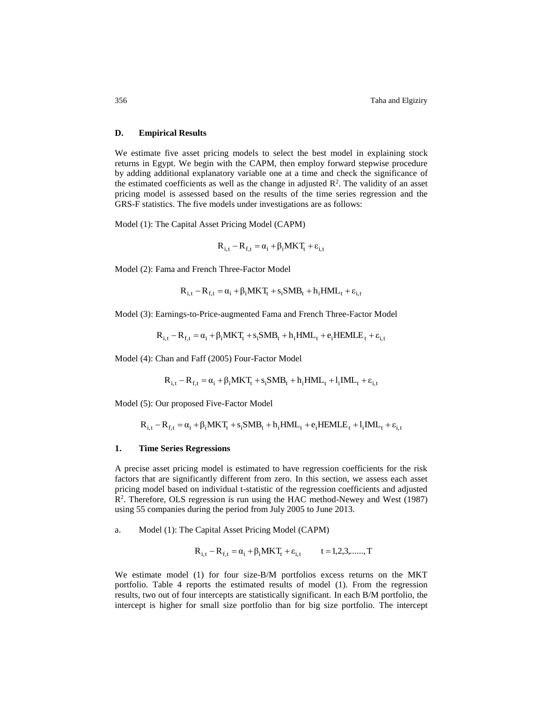#### **D. Empirical Results**

We estimate five asset pricing models to select the best model in explaining stock returns in Egypt. We begin with the CAPM, then employ forward stepwise procedure by adding additional explanatory variable one at a time and check the significance of the estimated coefficients as well as the change in adjusted  $\mathbb{R}^2$ . The validity of an asset pricing model is assessed based on the results of the time series regression and the GRS-F statistics. The five models under investigations are as follows:

Model (1): The Capital Asset Pricing Model (CAPM)

$$
\mathbf{R}_{i,t} - \mathbf{R}_{f,t} = \alpha_i + \beta_i \mathbf{M} \mathbf{K} \mathbf{T}_t + \varepsilon_{i,t}
$$

Model (2): Fama and French Three-Factor Model

$$
R_{i,t} - R_{f,t} = \alpha_i + \beta_i MKT_t + s_i SMB_t + h_i HML_t + \epsilon_{i,t}
$$

Model (3): Earnings-to-Price-augmented Fama and French Three-Factor Model

$$
R_{i,t} - R_{f,t} = \alpha_i + \beta_i MKT_t + s_iSMB_t + h_iHML_t + e_iHEMLE_t + \epsilon_{i,t}
$$

Model (4): Chan and Faff (2005) Four-Factor Model

$$
R_{i,t} - R_{f,t} = \alpha_i + \beta_i MKT_t + s_iSMB_t + h_iHML_t + l_iIML_t + \varepsilon_{i,t}
$$

Model (5): Our proposed Five-Factor Model

$$
R_{i,t} - R_{f,t} = \alpha_i + \beta_i MKT_t + s_iSMB_t + h_iHML_t + e_iHEMLE_t + l_iIML_t + \epsilon_{i,t}
$$

#### **1. Time Series Regressions**

A precise asset pricing model is estimated to have regression coefficients for the risk factors that are significantly different from zero. In this section, we assess each asset pricing model based on individual t-statistic of the regression coefficients and adjusted R<sup>2</sup>. Therefore, OLS regression is run using the HAC method-Newey and West (1987) using 55 companies during the period from July 2005 to June 2013.

a. Model (1): The Capital Asset Pricing Model (CAPM)

$$
R_{i,t} - R_{f,t} = \alpha_i + \beta_i MKT_t + \epsilon_{i,t}
$$
  $t = 1, 2, 3, \dots, T$ 

We estimate model (1) for four size-B/M portfolios excess returns on the MKT portfolio. Table 4 reports the estimated results of model (1). From the regression results, two out of four intercepts are statistically significant. In each B/M portfolio, the intercept is higher for small size portfolio than for big size portfolio. The intercept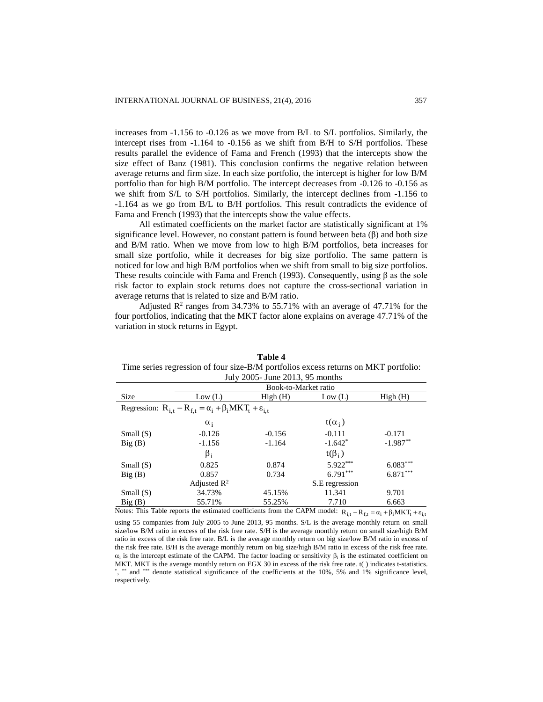increases from -1.156 to -0.126 as we move from B/L to S/L portfolios. Similarly, the intercept rises from -1.164 to -0.156 as we shift from B/H to S/H portfolios. These results parallel the evidence of Fama and French (1993) that the intercepts show the size effect of Banz (1981). This conclusion confirms the negative relation between average returns and firm size. In each size portfolio, the intercept is higher for low B/M portfolio than for high B/M portfolio. The intercept decreases from -0.126 to -0.156 as we shift from S/L to S/H portfolios. Similarly, the intercept declines from -1.156 to -1.164 as we go from B/L to B/H portfolios. This result contradicts the evidence of Fama and French (1993) that the intercepts show the value effects.

All estimated coefficients on the market factor are statistically significant at 1% significance level. However, no constant pattern is found between beta  $(\beta)$  and both size and B/M ratio. When we move from low to high B/M portfolios, beta increases for small size portfolio, while it decreases for big size portfolio. The same pattern is noticed for low and high B/M portfolios when we shift from small to big size portfolios. These results coincide with Fama and French (1993). Consequently, using  $\beta$  as the sole risk factor to explain stock returns does not capture the cross-sectional variation in average returns that is related to size and B/M ratio.

Adjusted  $\mathbb{R}^2$  ranges from 34.73% to 55.71% with an average of 47.71% for the four portfolios, indicating that the MKT factor alone explains on average 47.71% of the variation in stock returns in Egypt.

| July 2005- June 2013, 95 months |                                                                                                                                              |                      |                |            |  |  |  |  |  |
|---------------------------------|----------------------------------------------------------------------------------------------------------------------------------------------|----------------------|----------------|------------|--|--|--|--|--|
|                                 |                                                                                                                                              | Book-to-Market ratio |                |            |  |  |  |  |  |
| Size                            | Low (L)                                                                                                                                      | High(H)              | Low (L)        | High(H)    |  |  |  |  |  |
|                                 | Regression: $R_{i,t} - R_{f,t} = \alpha_i + \beta_i MKT_t + \varepsilon_{i,t}$                                                               |                      |                |            |  |  |  |  |  |
|                                 | $\alpha_i$                                                                                                                                   |                      | $t(\alpha_i)$  |            |  |  |  |  |  |
| Small(S)                        | $-0.126$                                                                                                                                     | $-0.156$             | $-0.111$       | $-0.171$   |  |  |  |  |  |
| Big(B)                          | $-1.156$                                                                                                                                     | $-1.164$             | $-1.642*$      | $-1.987**$ |  |  |  |  |  |
|                                 | $\beta_i$                                                                                                                                    |                      | $t(\beta_i)$   |            |  |  |  |  |  |
| Small(S)                        | 0.825                                                                                                                                        | 0.874                | 5.922***       | $6.083***$ |  |  |  |  |  |
| Big(B)                          | 0.857                                                                                                                                        | 0.734                | $6.791***$     | $6.871***$ |  |  |  |  |  |
|                                 | Adjusted $\mathbb{R}^2$                                                                                                                      |                      | S.E regression |            |  |  |  |  |  |
| Small(S)                        | 34.73%                                                                                                                                       | 45.15%               | 11.341         | 9.701      |  |  |  |  |  |
| Big(B)                          | 55.71%                                                                                                                                       | 55.25%               | 7.710          | 6.663      |  |  |  |  |  |
|                                 | Notes: This Table reports the estimated coefficients from the CAPM model: $R_{i,t} - R_{f,t} = \alpha_i + \beta_i MKT_t + \varepsilon_{i,t}$ |                      |                |            |  |  |  |  |  |

**Table 4** Time series regression of four size-B/M portfolios excess returns on MKT portfolio:

using 55 companies from July 2005 to June 2013, 95 months. S/L is the average monthly return on small size/low B/M ratio in excess of the risk free rate. S/H is the average monthly return on small size/high B/M ratio in excess of the risk free rate. B/L is the average monthly return on big size/low B/M ratio in excess of the risk free rate. B/H is the average monthly return on big size/high B/M ratio in excess of the risk free rate.  $\alpha_i$  is the intercept estimate of the CAPM. The factor loading or sensitivity  $\beta_i$  is the estimated coefficient on MKT. MKT is the average monthly return on EGX 30 in excess of the risk free rate. t() indicates t-statistics. \*, \*\* and \*\*\* denote statistical significance of the coefficients at the 10%, 5% and 1% significance level, respectively.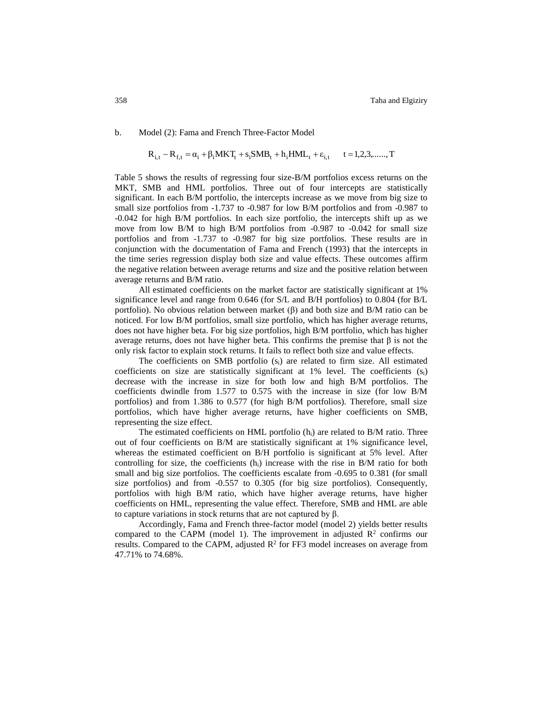b. Model (2): Fama and French Three-Factor Model

$$
R_{i,t} - R_{f,t} = \alpha_i + \beta_i MKT_t + s_i SMB_t + h_i HML_t + \varepsilon_{i,t} \qquad t = 1,2,3,......,T
$$

Table 5 shows the results of regressing four size-B/M portfolios excess returns on the MKT, SMB and HML portfolios. Three out of four intercepts are statistically significant. In each B/M portfolio, the intercepts increase as we move from big size to small size portfolios from -1.737 to -0.987 for low B/M portfolios and from -0.987 to -0.042 for high B/M portfolios. In each size portfolio, the intercepts shift up as we move from low B/M to high B/M portfolios from -0.987 to -0.042 for small size portfolios and from -1.737 to -0.987 for big size portfolios. These results are in conjunction with the documentation of Fama and French (1993) that the intercepts in the time series regression display both size and value effects. These outcomes affirm the negative relation between average returns and size and the positive relation between average returns and B/M ratio.

All estimated coefficients on the market factor are statistically significant at 1% significance level and range from 0.646 (for S/L and B/H portfolios) to 0.804 (for B/L portfolio). No obvious relation between market (β) and both size and B/M ratio can be noticed. For low B/M portfolios, small size portfolio, which has higher average returns, does not have higher beta. For big size portfolios, high B/M portfolio, which has higher average returns, does not have higher beta. This confirms the premise that β is not the only risk factor to explain stock returns. It fails to reflect both size and value effects.

The coefficients on SMB portfolio (si) are related to firm size. All estimated coefficients on size are statistically significant at 1% level. The coefficients  $(s_i)$ decrease with the increase in size for both low and high B/M portfolios. The coefficients dwindle from 1.577 to 0.575 with the increase in size (for low B/M portfolios) and from 1.386 to 0.577 (for high B/M portfolios). Therefore, small size portfolios, which have higher average returns, have higher coefficients on SMB, representing the size effect.

The estimated coefficients on HML portfolio  $(h_i)$  are related to B/M ratio. Three out of four coefficients on B/M are statistically significant at 1% significance level, whereas the estimated coefficient on B/H portfolio is significant at 5% level. After controlling for size, the coefficients  $(h_i)$  increase with the rise in B/M ratio for both small and big size portfolios. The coefficients escalate from -0.695 to 0.381 (for small size portfolios) and from -0.557 to 0.305 (for big size portfolios). Consequently, portfolios with high B/M ratio, which have higher average returns, have higher coefficients on HML, representing the value effect. Therefore, SMB and HML are able to capture variations in stock returns that are not captured by β.

Accordingly, Fama and French three-factor model (model 2) yields better results compared to the CAPM (model 1). The improvement in adjusted  $\mathbb{R}^2$  confirms our results. Compared to the CAPM, adjusted  $R^2$  for FF3 model increases on average from 47.71% to 74.68%.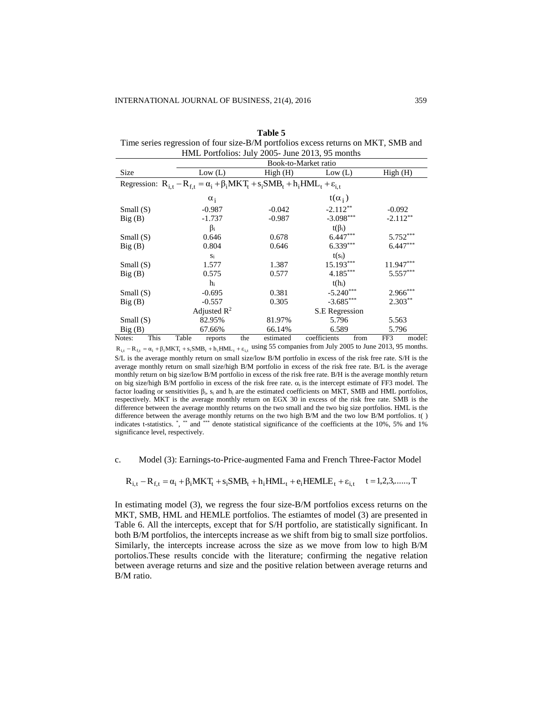| Table 5                                                                           |
|-----------------------------------------------------------------------------------|
| Time series regression of four size-B/M portfolios excess returns on MKT, SMB and |
| HML Portfolios: July 2005- June 2013, 95 months                                   |

|             |      | Book-to-Market ratio |                              |     |                                                                                                        |                |            |             |            |
|-------------|------|----------------------|------------------------------|-----|--------------------------------------------------------------------------------------------------------|----------------|------------|-------------|------------|
| Size        |      |                      | Low (L)                      |     | High(H)                                                                                                | Low (L)        |            | High(H)     |            |
|             |      |                      |                              |     | Regression: $R_{i,t} - R_{f,t} = \alpha_i + \beta_i MKT_t + s_i SMB_t + h_i HML_t + \varepsilon_{i,t}$ |                |            |             |            |
|             |      |                      | $\alpha_i$                   |     |                                                                                                        | $t(\alpha_i)$  |            |             |            |
| Small $(S)$ |      |                      | $-0.987$                     |     | $-0.042$                                                                                               | $-2.112**$     |            | $-0.092$    |            |
| Big(B)      |      |                      | $-1.737$                     |     | $-0.987$                                                                                               | $-3.098***$    |            | $-2.112**$  |            |
|             |      |                      | $\beta_i$                    |     |                                                                                                        | $t(\beta_i)$   |            |             |            |
| Small $(S)$ |      |                      | 0.646                        |     | 0.678                                                                                                  | $6.447***$     |            |             | $5.752***$ |
| Big(B)      |      |                      | $6.339***$<br>0.804<br>0.646 |     |                                                                                                        |                | $6.447***$ |             |            |
|             |      |                      | Si                           |     |                                                                                                        | $t(s_i)$       |            |             |            |
| Small $(S)$ |      |                      | 1.577                        |     | 1.387                                                                                                  | 15.193***      |            | $11.947***$ |            |
| Big(B)      |      |                      | 0.575                        |     | 0.577                                                                                                  | $4.185***$     |            |             | $5.557***$ |
|             |      |                      | hi                           |     |                                                                                                        | $t(h_i)$       |            |             |            |
| Small $(S)$ |      |                      | $-0.695$                     |     | 0.381                                                                                                  | $-5.240***$    |            |             | $2.966***$ |
| Big(B)      |      |                      | $-0.557$                     |     | 0.305                                                                                                  | $-3.685***$    |            |             | $2.303**$  |
|             |      |                      | Adjusted $\mathbb{R}^2$      |     |                                                                                                        | S.E Regression |            |             |            |
| Small $(S)$ |      |                      | 82.95%                       |     | 81.97%                                                                                                 | 5.796          |            | 5.563       |            |
| Big(B)      |      |                      | 67.66%                       |     | 66.14%                                                                                                 | 6.589          |            | 5.796       |            |
| Notes:      | This | Table                | reports                      | the | estimated                                                                                              | coefficients   | from       | FF3         | model:     |

 $R_{i,t} - R_{f,t} = \alpha_i + \beta_i MKT_t + s_i SMB_t + h_i HML_t + \varepsilon_{i,t}$  using 55 companies from July 2005 to June 2013, 95 months. S/L is the average monthly return on small size/low B/M portfolio in excess of the risk free rate. S/H is the average monthly return on small size/high B/M portfolio in excess of the risk free rate. B/L is the average monthly return on big size/low B/M portfolio in excess of the risk free rate. B/H is the average monthly return on big size/high B/M portfolio in excess of the risk free rate.  $\alpha_i$  is the intercept estimate of FF3 model. The factor loading or sensitivities βi, s<sup>i</sup> and h<sup>i</sup> are the estimated coefficients on MKT, SMB and HML portfolios, respectively. MKT is the average monthly return on EGX 30 in excess of the risk free rate. SMB is the difference between the average monthly returns on the two small and the two big size portfolios. HML is the difference between the average monthly returns on the two high B/M and the two low B/M portfolios. t() indicates t-statistics. \*, \*\* and \*\*\* denote statistical significance of the coefficients at the 10%, 5% and 1% significance level, respectively.

c. Model (3): Earnings-to-Price-augmented Fama and French Three-Factor Model

$$
R_{i,t} - R_{f,t} = \alpha_i + \beta_i MKT_t + s_i SMB_t + h_i HML_t + e_i HEMLE_t + \epsilon_{i,t} \quad t = 1,2,3,......,T
$$

In estimating model (3), we regress the four size-B/M portfolios excess returns on the MKT, SMB, HML and HEMLE portfolios. The estiamtes of model (3) are presented in Table 6. All the intercepts, except that for S/H portfolio, are statistically significant. In both B/M portfolios, the intercepts increase as we shift from big to small size portfolios. Similarly, the intercepts increase across the size as we move from low to high B/M portolios.These results concide with the literature; confirming the negative relation between average returns and size and the positive relation between average returns and B/M ratio.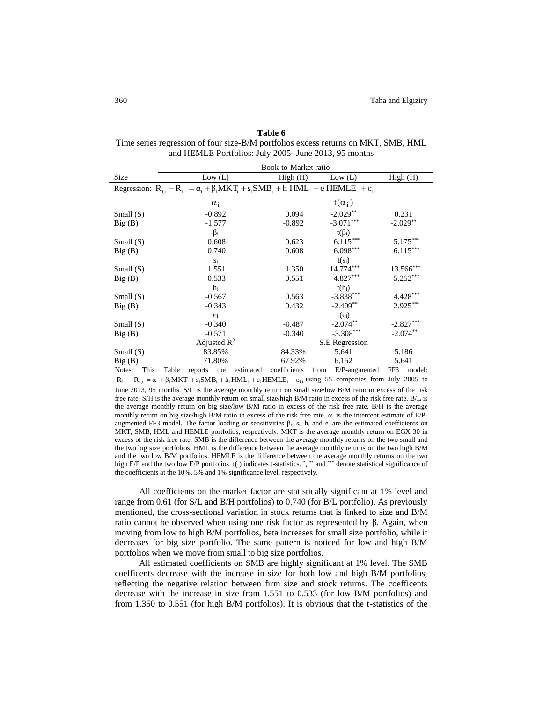**Table 6** Time series regression of four size-B/M portfolios excess returns on MKT, SMB, HML and HEMLE Portfolios: July 2005- June 2013, 95 months

|             |      | Book-to-Market ratio |         |                         |           |              |      |                                                                                                                      |       |             |
|-------------|------|----------------------|---------|-------------------------|-----------|--------------|------|----------------------------------------------------------------------------------------------------------------------|-------|-------------|
| Size        |      |                      |         | Low (L)                 |           | High(H)      |      | Low (L)                                                                                                              |       | High(H)     |
|             |      |                      |         |                         |           |              |      | Regression: $R_{i,t} - R_{f,t} = \alpha_i + \beta_i MKT_t + s_i SMB_t + h_i HML_t + e_i HEMLE_t + \varepsilon_{i,t}$ |       |             |
|             |      |                      |         | $\alpha_i$              |           |              |      | $t(\alpha_i)$                                                                                                        |       |             |
| Small $(S)$ |      |                      |         | $-0.892$                |           | 0.094        |      | $-2.029**$                                                                                                           | 0.231 |             |
| Big(B)      |      |                      |         | $-1.577$                |           | $-0.892$     |      | $-3.071***$                                                                                                          |       | $-2.029**$  |
|             |      |                      |         | $\beta_i$               |           |              |      | $t(\beta_i)$                                                                                                         |       |             |
| Small $(S)$ |      |                      |         | 0.608                   |           | 0.623        |      | $6.115***$                                                                                                           |       | $5.175***$  |
| Big(B)      |      |                      |         | 0.740                   |           | 0.608        |      | $6.098***$                                                                                                           |       | $6.115***$  |
|             |      |                      |         | Si                      |           |              |      | $t(s_i)$                                                                                                             |       |             |
| Small $(S)$ |      |                      |         | 1.551                   |           | 1.350        |      | 14.774***                                                                                                            |       | $13.566***$ |
| Big(B)      |      |                      |         | 0.533                   |           | 0.551        |      | $4.827***$                                                                                                           |       | $5.252***$  |
|             |      |                      |         | hi                      |           |              |      | $t(h_i)$                                                                                                             |       |             |
| Small $(S)$ |      |                      |         | $-0.567$                |           | 0.563        |      | $-3.838***$                                                                                                          |       | $4.428***$  |
| Big(B)      |      |                      |         | $-0.343$                |           | 0.432        |      | $-2.409**$                                                                                                           |       | $2.925***$  |
|             |      |                      |         | $e_i$                   |           |              |      | $t(e_i)$                                                                                                             |       |             |
| Small $(S)$ |      |                      |         | $-0.340$                |           | $-0.487$     |      | $-2.074**$                                                                                                           |       | $-2.827***$ |
| Big(B)      |      |                      |         | $-0.571$                |           | $-0.340$     |      | $-3.308***$                                                                                                          |       | $-2.074***$ |
|             |      |                      |         | Adjusted $\mathbb{R}^2$ |           |              |      | S.E Regression                                                                                                       |       |             |
| Small $(S)$ |      |                      |         | 83.85%                  |           | 84.33%       |      | 5.641                                                                                                                |       | 5.186       |
| Big(B)      |      |                      |         | 71.80%                  |           | 67.92%       |      | 6.152                                                                                                                |       | 5.641       |
| Notes:      | This | Table                | reports | the                     | estimated | coefficients | from | E/P-augmented                                                                                                        | FF3   | model:      |

 $R_{i,t} - R_{f,t} = \alpha_i + \beta_i MKT_t + s_i SMB_t + h_i HML_t + e_i HEMLE_t + \epsilon_{i,t}$  using 55 companies from July 2005 to

June 2013, 95 months. S/L is the average monthly return on small size/low B/M ratio in excess of the risk free rate. S/H is the average monthly return on small size/high B/M ratio in excess of the risk free rate. B/L is the average monthly return on big size/low B/M ratio in excess of the risk free rate. B/H is the average monthly return on big size/high B/M ratio in excess of the risk free rate.  $\alpha_i$  is the intercept estimate of E/Paugmented FF3 model. The factor loading or sensitivities  $β<sub>i</sub>$ ,  $s<sub>i</sub>$ ,  $h<sub>i</sub>$  and  $e<sub>i</sub>$  are the estimated coefficients on MKT, SMB, HML and HEMLE portfolios, respectively. MKT is the average monthly return on EGX 30 in excess of the risk free rate. SMB is the difference between the average monthly returns on the two small and the two big size portfolios. HML is the difference between the average monthly returns on the two high B/M and the two low B/M portfolios. HEMLE is the difference between the average monthly returns on the two high E/P and the two low E/P portfolios. t() indicates t-statistics. \*, \*\* and \*\*\* denote statistical significance of the coefficients at the 10%, 5% and 1% significance level, respectively.

All coefficients on the market factor are statistically significant at 1% level and range from 0.61 (for S/L and B/H portfolios) to 0.740 (for B/L portfolio). As previously mentioned, the cross-sectional variation in stock returns that is linked to size and B/M ratio cannot be observed when using one risk factor as represented by β. Again, when moving from low to high B/M portfolios, beta increases for small size portfolio, while it decreases for big size portfolio. The same pattern is noticed for low and high B/M portfolios when we move from small to big size portfolios.

All estimated coefficients on SMB are highly significant at 1% level. The SMB coefficents decrease with the increase in size for both low and high B/M portfolios, reflecting the negative relation between firm size and stock returns. The coefficents decrease with the increase in size from 1.551 to 0.533 (for low B/M portfolios) and from 1.350 to 0.551 (for high B/M portfolios). It is obvious that the t-statistics of the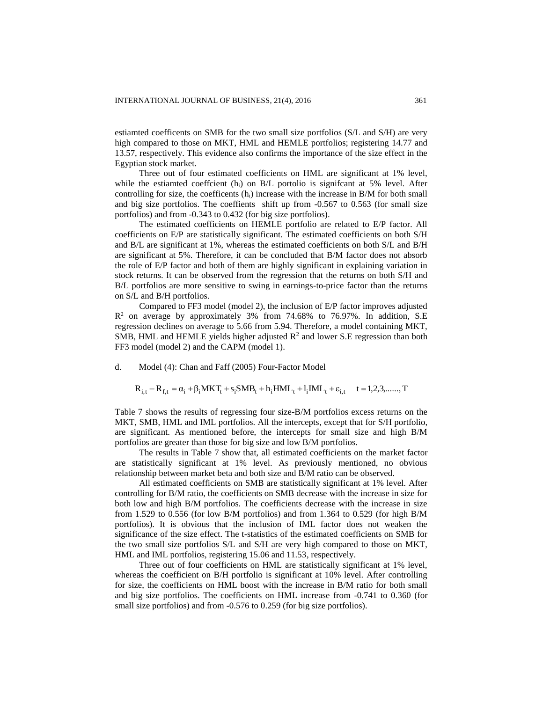estiamted coefficents on SMB for the two small size portfolios (S/L and S/H) are very high compared to those on MKT, HML and HEMLE portfolios; registering 14.77 and 13.57, respectively. This evidence also confirms the importance of the size effect in the Egyptian stock market.

Three out of four estimated coefficients on HML are significant at 1% level, while the estiamted coeffcient  $(h_i)$  on B/L portolio is significant at 5% level. After controlling for size, the coefficents  $(h_i)$  increase with the increase in B/M for both small and big size portfolios. The coeffients shift up from -0.567 to 0.563 (for small size portfolios) and from -0.343 to 0.432 (for big size portfolios).

The estimated coefficients on HEMLE portfolio are related to E/P factor. All coefficients on E/P are statistically significant. The estimated coefficients on both S/H and B/L are significant at 1%, whereas the estimated coefficients on both S/L and B/H are significant at 5%. Therefore, it can be concluded that B/M factor does not absorb the role of E/P factor and both of them are highly significant in explaining variation in stock returns. It can be observed from the regression that the returns on both S/H and B/L portfolios are more sensitive to swing in earnings-to-price factor than the returns on S/L and B/H portfolios.

Compared to FF3 model (model 2), the inclusion of E/P factor improves adjusted  $R<sup>2</sup>$  on average by approximately 3% from 74.68% to 76.97%. In addition, S.E regression declines on average to 5.66 from 5.94. Therefore, a model containing MKT, SMB, HML and HEMLE yields higher adjusted  $\mathbb{R}^2$  and lower S.E regression than both FF3 model (model 2) and the CAPM (model 1).

d. Model (4): Chan and Faff (2005) Four-Factor Model

$$
R_{i,t} - R_{f,t} = \alpha_i + \beta_i MKT_t + s_i SMB_t + h_i HML_t + l_i IML_t + \epsilon_{i,t} \quad t = 1, 2, 3, \dots, T
$$

Table 7 shows the results of regressing four size-B/M portfolios excess returns on the MKT, SMB, HML and IML portfolios. All the intercepts, except that for S/H portfolio, are significant. As mentioned before, the intercepts for small size and high B/M portfolios are greater than those for big size and low B/M portfolios.

The results in Table 7 show that, all estimated coefficients on the market factor are statistically significant at 1% level. As previously mentioned, no obvious relationship between market beta and both size and B/M ratio can be observed.

All estimated coefficients on SMB are statistically significant at 1% level. After controlling for B/M ratio, the coefficients on SMB decrease with the increase in size for both low and high B/M portfolios. The coefficients decrease with the increase in size from 1.529 to 0.556 (for low B/M portfolios) and from 1.364 to 0.529 (for high B/M portfolios). It is obvious that the inclusion of IML factor does not weaken the significance of the size effect. The t-statistics of the estimated coefficients on SMB for the two small size portfolios S/L and S/H are very high compared to those on MKT, HML and IML portfolios, registering 15.06 and 11.53, respectively.

Three out of four coefficients on HML are statistically significant at 1% level, whereas the coefficient on B/H portfolio is significant at 10% level. After controlling for size, the coefficients on HML boost with the increase in B/M ratio for both small and big size portfolios. The coefficients on HML increase from -0.741 to 0.360 (for small size portfolios) and from -0.576 to 0.259 (for big size portfolios).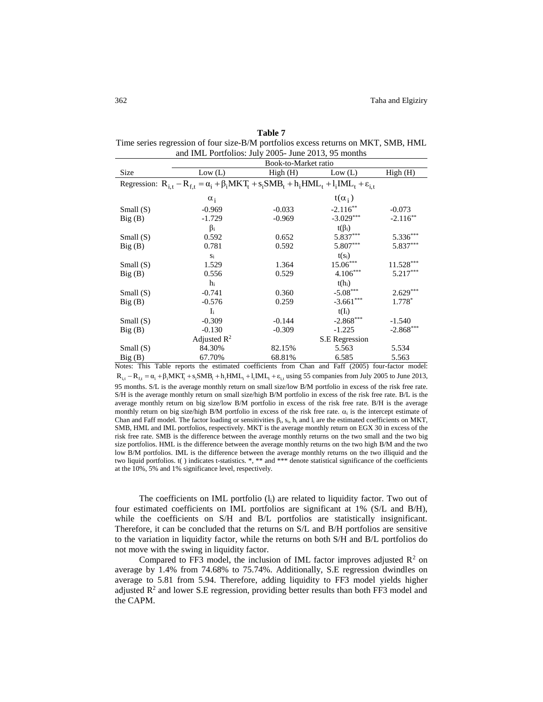| and IML Portfolios: July 2005- June 2013, 95 months |                                                                                                                    |          |                |             |  |  |  |  |
|-----------------------------------------------------|--------------------------------------------------------------------------------------------------------------------|----------|----------------|-------------|--|--|--|--|
|                                                     | Book-to-Market ratio                                                                                               |          |                |             |  |  |  |  |
| Size                                                | Low (L)                                                                                                            | High(H)  | Low (L)        | High(H)     |  |  |  |  |
|                                                     | Regression: $R_{i,t} - R_{f,t} = \alpha_i + \beta_i MKT_t + s_i SMB_t + h_i HML_t + l_i IML_t + \varepsilon_{i,t}$ |          |                |             |  |  |  |  |
|                                                     | $\alpha_i$                                                                                                         |          | $t(\alpha_i)$  |             |  |  |  |  |
| Small $(S)$                                         | $-0.969$                                                                                                           | $-0.033$ | $-2.116**$     | $-0.073$    |  |  |  |  |
| Big(B)                                              | $-1.729$                                                                                                           | $-0.969$ | $-3.029***$    | $-2.116**$  |  |  |  |  |
|                                                     | $\beta_i$                                                                                                          |          | $t(\beta_i)$   |             |  |  |  |  |
| Small $(S)$                                         | 0.592                                                                                                              | 0.652    | 5.837***       | $5.336***$  |  |  |  |  |
| Big(B)                                              | 0.781                                                                                                              | 0.592    | 5.807***       | 5.837***    |  |  |  |  |
|                                                     | $S_i$                                                                                                              |          | $t(s_i)$       |             |  |  |  |  |
| Small $(S)$                                         | 1.529                                                                                                              | 1.364    | $15.06***$     | $11.528***$ |  |  |  |  |
| Big(B)                                              | 0.556                                                                                                              | 0.529    | $4.106***$     | $5.217***$  |  |  |  |  |
|                                                     | h                                                                                                                  |          | $t(h_i)$       |             |  |  |  |  |
| Small $(S)$                                         | $-0.741$                                                                                                           | 0.360    | $-5.08***$     | $2.629***$  |  |  |  |  |
| Big(B)                                              | $-0.576$                                                                                                           | 0.259    | $-3.661***$    | $1.778*$    |  |  |  |  |
|                                                     | $\mathbf{I}$                                                                                                       |          | $t(I_i)$       |             |  |  |  |  |
| Small $(S)$                                         | $-0.309$                                                                                                           | $-0.144$ | $-2.868***$    | $-1.540$    |  |  |  |  |
| Big(B)                                              | $-0.130$                                                                                                           | $-0.309$ | $-1.225$       | $-2.868***$ |  |  |  |  |
|                                                     | Adjusted $\mathbb{R}^2$                                                                                            |          | S.E Regression |             |  |  |  |  |
| Small $(S)$                                         | 84.30%                                                                                                             | 82.15%   | 5.563          | 5.534       |  |  |  |  |
| Big(B)                                              | 67.70%                                                                                                             | 68.81%   | 6.585          | 5.563       |  |  |  |  |

**Table 7** Time series regression of four size-B/M portfolios excess returns on MKT, SMB, HML

Notes: This Table reports the estimated coefficients from Chan and Faff (2005) four-factor model:  $R_{i,t} - R_{f,t} = \alpha_i + \beta_i MKT_t + s_i SMB_t + h_i HML_t + l_i IML_t + \varepsilon_{i,t}$  using 55 companies from July 2005 to June 2013, 95 months. S/L is the average monthly return on small size/low B/M portfolio in excess of the risk free rate. S/H is the average monthly return on small size/high B/M portfolio in excess of the risk free rate. B/L is the average monthly return on big size/low B/M portfolio in excess of the risk free rate. B/H is the average monthly return on big size/high B/M portfolio in excess of the risk free rate.  $\alpha_i$  is the intercept estimate of Chan and Faff model. The factor loading or sensitivities  $\beta_i$ ,  $s_i$ ,  $h_i$  and  $l_i$  are the estimated coefficients on MKT, SMB, HML and IML portfolios, respectively. MKT is the average monthly return on EGX 30 in excess of the risk free rate. SMB is the difference between the average monthly returns on the two small and the two big size portfolios. HML is the difference between the average monthly returns on the two high B/M and the two low B/M portfolios. IML is the difference between the average monthly returns on the two illiquid and the two liquid portfolios. t( ) indicates t-statistics. \*, \*\* and \*\*\* denote statistical significance of the coefficients at the 10%, 5% and 1% significance level, respectively.

The coefficients on IML portfolio  $(l_i)$  are related to liquidity factor. Two out of four estimated coefficients on IML portfolios are significant at 1% (S/L and B/H), while the coefficients on S/H and B/L portfolios are statistically insignificant. Therefore, it can be concluded that the returns on S/L and B/H portfolios are sensitive to the variation in liquidity factor, while the returns on both S/H and B/L portfolios do not move with the swing in liquidity factor.

Compared to FF3 model, the inclusion of IML factor improves adjusted  $\mathbb{R}^2$  on average by 1.4% from 74.68% to 75.74%. Additionally, S.E regression dwindles on average to 5.81 from 5.94. Therefore, adding liquidity to FF3 model yields higher adjusted  $\mathbb{R}^2$  and lower S.E regression, providing better results than both FF3 model and the CAPM.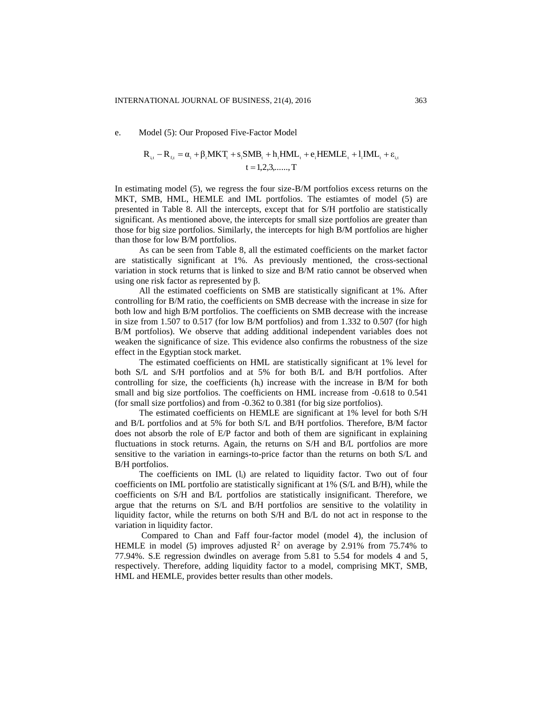e. Model (5): Our Proposed Five-Factor Model

$$
R_{i,t} - R_{f,t} = \alpha_i + \beta_i MKT_t + s_i SMB_t + h_i HML_t + e_i HEMLE_t + l_i IML_t + \epsilon_{i,t}
$$
  

$$
t = 1,2,3,......,T
$$

In estimating model (5), we regress the four size-B/M portfolios excess returns on the MKT, SMB, HML, HEMLE and IML portfolios. The estiamtes of model (5) are presented in Table 8. All the intercepts, except that for S/H portfolio are statistically significant. As mentioned above, the intercepts for small size portfolios are greater than those for big size portfolios. Similarly, the intercepts for high B/M portfolios are higher than those for low B/M portfolios.

As can be seen from Table 8, all the estimated coefficients on the market factor are statistically significant at 1%. As previously mentioned, the cross-sectional variation in stock returns that is linked to size and B/M ratio cannot be observed when using one risk factor as represented by β.

All the estimated coefficients on SMB are statistically significant at 1%. After controlling for B/M ratio, the coefficients on SMB decrease with the increase in size for both low and high B/M portfolios. The coefficients on SMB decrease with the increase in size from 1.507 to 0.517 (for low B/M portfolios) and from 1.332 to 0.507 (for high B/M portfolios). We observe that adding additional independent variables does not weaken the significance of size. This evidence also confirms the robustness of the size effect in the Egyptian stock market.

The estimated coefficients on HML are statistically significant at 1% level for both S/L and S/H portfolios and at 5% for both B/L and B/H portfolios. After controlling for size, the coefficients (hi) increase with the increase in B/M for both small and big size portfolios. The coefficients on HML increase from -0.618 to 0.541 (for small size portfolios) and from -0.362 to 0.381 (for big size portfolios).

The estimated coefficients on HEMLE are significant at 1% level for both S/H and B/L portfolios and at 5% for both S/L and B/H portfolios. Therefore, B/M factor does not absorb the role of E/P factor and both of them are significant in explaining fluctuations in stock returns. Again, the returns on S/H and B/L portfolios are more sensitive to the variation in earnings-to-price factor than the returns on both S/L and B/H portfolios.

The coefficients on IML  $(l_i)$  are related to liquidity factor. Two out of four coefficients on IML portfolio are statistically significant at 1% (S/L and B/H), while the coefficients on S/H and B/L portfolios are statistically insignificant. Therefore, we argue that the returns on S/L and B/H portfolios are sensitive to the volatility in liquidity factor, while the returns on both S/H and B/L do not act in response to the variation in liquidity factor.

Compared to Chan and Faff four-factor model (model 4), the inclusion of HEMLE in model (5) improves adjusted  $\mathbb{R}^2$  on average by 2.91% from 75.74% to 77.94%. S.E regression dwindles on average from 5.81 to 5.54 for models 4 and 5, respectively. Therefore, adding liquidity factor to a model, comprising MKT, SMB, HML and HEMLE, provides better results than other models.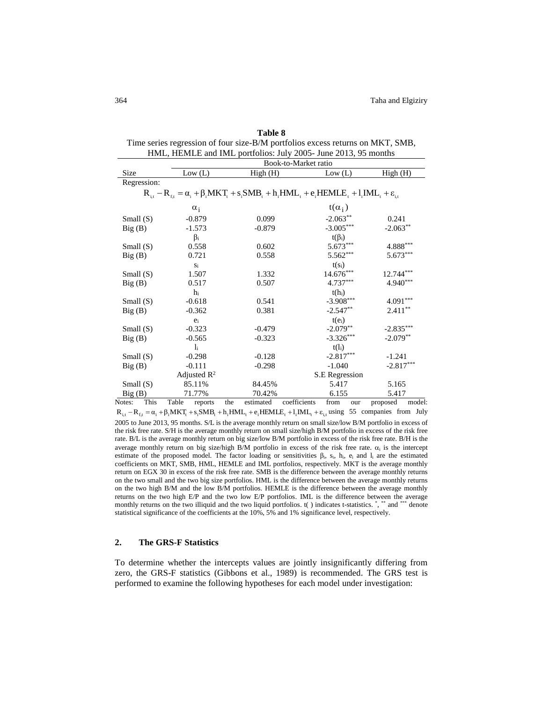| Table 8                                                                        |
|--------------------------------------------------------------------------------|
| Time series regression of four size-B/M portfolios excess returns on MKT, SMB, |
| HML, HEMLE and IML portfolios: July 2005- June 2013, 95 months                 |

|                | Book-to-Market ratio                                                                                                 |     |           |              |                |     |             |        |
|----------------|----------------------------------------------------------------------------------------------------------------------|-----|-----------|--------------|----------------|-----|-------------|--------|
| Size           | Low (L)                                                                                                              |     | High(H)   |              | Low (L)        |     | High(H)     |        |
| Regression:    |                                                                                                                      |     |           |              |                |     |             |        |
|                | $R_{i,t} - R_{f,t} = \alpha_i + \beta_i MKT_t + s_i SMB_t + h_i HML_t + e_i HEMLE_t + l_i IML_t + \varepsilon_{i,t}$ |     |           |              |                |     |             |        |
|                | $\alpha_i$                                                                                                           |     |           |              | $t(\alpha_i)$  |     |             |        |
| Small $(S)$    | $-0.879$                                                                                                             |     | 0.099     |              | $-2.063**$     |     | 0.241       |        |
| Big(B)         | $-1.573$                                                                                                             |     | $-0.879$  |              | $-3.005***$    |     | $-2.063**$  |        |
|                | $\beta_i$                                                                                                            |     |           |              | $t(\beta_i)$   |     |             |        |
| Small $(S)$    | 0.558                                                                                                                |     | 0.602     |              | $5.673***$     |     | $4.888***$  |        |
| Big(B)         | 0.721                                                                                                                |     | 0.558     |              | $5.562***$     |     | $5.673***$  |        |
|                | Si                                                                                                                   |     |           |              | $t(s_i)$       |     |             |        |
| Small $(S)$    | 1.507                                                                                                                |     | 1.332     |              | $14.676***$    |     | $12.744***$ |        |
| Big(B)         | 0.517                                                                                                                |     | 0.507     |              | $4.737***$     |     | $4.940***$  |        |
|                | $h_i$                                                                                                                |     |           |              | $t(h_i)$       |     |             |        |
| Small $(S)$    | $-0.618$                                                                                                             |     | 0.541     |              | $-3.908***$    |     | $4.091***$  |        |
| Big(B)         | $-0.362$                                                                                                             |     | 0.381     |              | $-2.547**$     |     | $2.411***$  |        |
|                | $e_i$                                                                                                                |     |           |              | $t(e_i)$       |     |             |        |
| Small $(S)$    | $-0.323$                                                                                                             |     | $-0.479$  |              | $-2.079**$     |     | $-2.835***$ |        |
| Big(B)         | $-0.565$                                                                                                             |     | $-0.323$  |              | $-3.326***$    |     | $-2.079**$  |        |
|                | $\mathbf{I}$                                                                                                         |     |           |              | $t(l_i)$       |     |             |        |
| Small $(S)$    | $-0.298$                                                                                                             |     | $-0.128$  |              | $-2.817***$    |     | $-1.241$    |        |
| Big(B)         | $-0.111$                                                                                                             |     | $-0.298$  |              | $-1.040$       |     | $-2.817***$ |        |
|                | Adjusted $\mathbb{R}^2$                                                                                              |     |           |              | S.E Regression |     |             |        |
| Small $(S)$    | 85.11%                                                                                                               |     | 84.45%    |              | 5.417          |     | 5.165       |        |
| Big(B)         | 71.77%                                                                                                               |     | 70.42%    |              | 6.155          |     | 5.417       |        |
| This<br>Notes: | Table<br>reports                                                                                                     | the | estimated | coefficients | from           | our | proposed    | model: |

 $R_{i,t} = R_{f,t} = \alpha_i + \beta_i MKT_t + s_i SMB_t + h_i HML_t + e_i HEMLE_t + l_i MLL_t + \varepsilon_{i,t}$  using 55 companies from July 2005 to June 2013, 95 months. S/L is the average monthly return on small size/low B/M portfolio in excess of the risk free rate. S/H is the average monthly return on small size/high B/M portfolio in excess of the risk free rate. B/L is the average monthly return on big size/low B/M portfolio in excess of the risk free rate. B/H is the average monthly return on big size/high B/M portfolio in excess of the risk free rate.  $\alpha_i$  is the intercept estimate of the proposed model. The factor loading or sensitivities  $\beta_i$ ,  $s_i$ ,  $h_i$ ,  $e_i$  and  $l_i$  are the estimated coefficients on MKT, SMB, HML, HEMLE and IML portfolios, respectively. MKT is the average monthly return on EGX 30 in excess of the risk free rate. SMB is the difference between the average monthly returns on the two small and the two big size portfolios. HML is the difference between the average monthly returns on the two high B/M and the low B/M portfolios. HEMLE is the difference between the average monthly returns on the two high E/P and the two low E/P portfolios. IML is the difference between the average monthly returns on the two illiquid and the two liquid portfolios.  $t$  () indicates t-statistics.  $\dot{a}$ ,  $\dot{a}$  and  $\dot{a}$  and  $\dot{b}$ statistical significance of the coefficients at the 10%, 5% and 1% significance level, respectively.

#### **2. The GRS-F Statistics**

To determine whether the intercepts values are jointly insignificantly differing from zero, the GRS-F statistics (Gibbons et al., 1989) is recommended. The GRS test is performed to examine the following hypotheses for each model under investigation: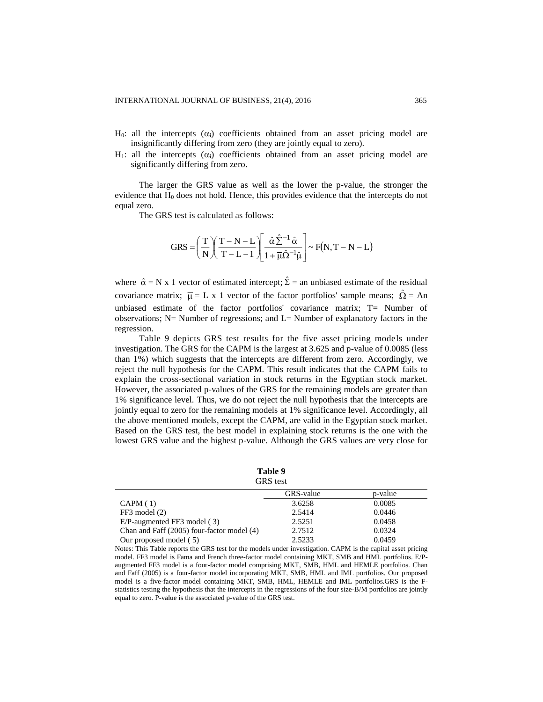- H<sub>0</sub>: all the intercepts  $(\alpha_i)$  coefficients obtained from an asset pricing model are insignificantly differing from zero (they are jointly equal to zero).
- H<sub>1</sub>: all the intercepts  $(\alpha_i)$  coefficients obtained from an asset pricing model are significantly differing from zero.

The larger the GRS value as well as the lower the p-value, the stronger the evidence that H<sup>0</sup> does not hold. Hence, this provides evidence that the intercepts do not equal zero.

The GRS test is calculated as follows:

$$
GRS = \left(\frac{T}{N}\right)\left(\frac{T-N-L}{T-L-1}\right)\left[\frac{\hat{\alpha}\,\hat{\Sigma}^{-1}\,\hat{\alpha}}{1+\overline{\mu}\hat{\Omega}^{-1}\hat{\mu}}\right] \sim F(N,T-N-L)
$$

where  $\hat{\alpha} = N \times 1$  vector of estimated intercept;  $\hat{\Sigma} =$  an unbiased estimate of the residual covariance matrix;  $\bar{\mu} = L \times 1$  vector of the factor portfolios' sample means;  $\hat{\Omega} = An$ unbiased estimate of the factor portfolios' covariance matrix; T= Number of observations; N= Number of regressions; and L= Number of explanatory factors in the regression.

Table 9 depicts GRS test results for the five asset pricing models under investigation. The GRS for the CAPM is the largest at 3.625 and p-value of 0.0085 (less than 1%) which suggests that the intercepts are different from zero. Accordingly, we reject the null hypothesis for the CAPM. This result indicates that the CAPM fails to explain the cross-sectional variation in stock returns in the Egyptian stock market. However, the associated p-values of the GRS for the remaining models are greater than 1% significance level. Thus, we do not reject the null hypothesis that the intercepts are jointly equal to zero for the remaining models at 1% significance level. Accordingly, all the above mentioned models, except the CAPM, are valid in the Egyptian stock market. Based on the GRS test, the best model in explaining stock returns is the one with the lowest GRS value and the highest p-value. Although the GRS values are very close for

**Table 9** GRS test

| UND WOL                                    |           |         |  |  |  |  |
|--------------------------------------------|-----------|---------|--|--|--|--|
|                                            | GRS-value | p-value |  |  |  |  |
| CAPM(1)                                    | 3.6258    | 0.0085  |  |  |  |  |
| $FF3 \text{ model} (2)$                    | 2.5414    | 0.0446  |  |  |  |  |
| E/P-augmented FF3 model (3)                | 2.5251    | 0.0458  |  |  |  |  |
| Chan and Faff (2005) four-factor model (4) | 2.7512    | 0.0324  |  |  |  |  |
| Our proposed model (5)                     | 2.5233    | 0.0459  |  |  |  |  |

Notes: This Table reports the GRS test for the models under investigation. CAPM is the capital asset pricing model. FF3 model is Fama and French three-factor model containing MKT, SMB and HML portfolios. E/Paugmented FF3 model is a four-factor model comprising MKT, SMB, HML and HEMLE portfolios. Chan and Faff (2005) is a four-factor model incorporating MKT, SMB, HML and IML portfolios. Our proposed model is a five-factor model containing MKT, SMB, HML, HEMLE and IML portfolios.GRS is the Fstatistics testing the hypothesis that the intercepts in the regressions of the four size-B/M portfolios are jointly equal to zero. P-value is the associated p-value of the GRS test.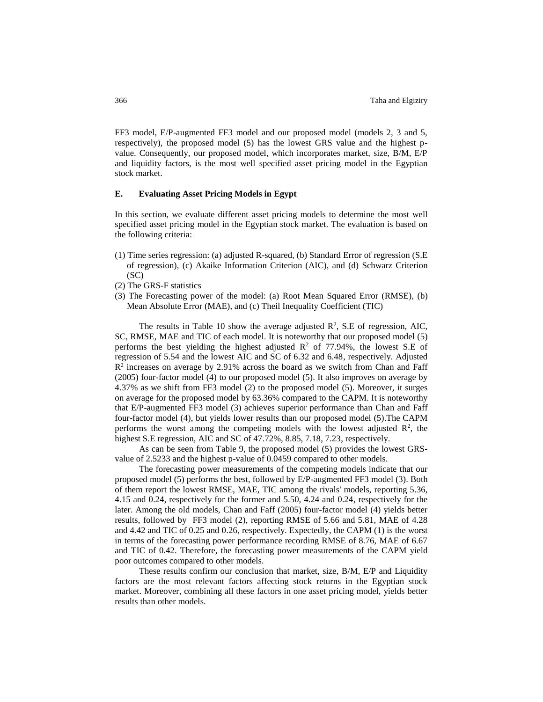FF3 model, E/P-augmented FF3 model and our proposed model (models 2, 3 and 5, respectively), the proposed model (5) has the lowest GRS value and the highest pvalue. Consequently, our proposed model, which incorporates market, size, B/M, E/P and liquidity factors, is the most well specified asset pricing model in the Egyptian stock market.

## **E. Evaluating Asset Pricing Models in Egypt**

In this section, we evaluate different asset pricing models to determine the most well specified asset pricing model in the Egyptian stock market. The evaluation is based on the following criteria:

- (1) Time series regression: (a) adjusted R-squared, (b) Standard Error of regression (S.E of regression), (c) Akaike Information Criterion (AIC), and (d) Schwarz Criterion  $(SC)$
- (2) The GRS-F statistics
- (3) The Forecasting power of the model: (a) Root Mean Squared Error (RMSE), (b) Mean Absolute Error (MAE), and (c) Theil Inequality Coefficient (TIC)

The results in Table 10 show the average adjusted  $\mathbb{R}^2$ , S.E of regression, AIC, SC, RMSE, MAE and TIC of each model. It is noteworthy that our proposed model (5) performs the best yielding the highest adjusted  $R^2$  of 77.94%, the lowest S.E of regression of 5.54 and the lowest AIC and SC of 6.32 and 6.48, respectively. Adjusted  $R<sup>2</sup>$  increases on average by 2.91% across the board as we switch from Chan and Faff (2005) four-factor model (4) to our proposed model (5). It also improves on average by 4.37% as we shift from FF3 model (2) to the proposed model (5). Moreover, it surges on average for the proposed model by 63.36% compared to the CAPM. It is noteworthy that E/P-augmented FF3 model (3) achieves superior performance than Chan and Faff four-factor model (4), but yields lower results than our proposed model (5).The CAPM performs the worst among the competing models with the lowest adjusted  $\mathbb{R}^2$ , the highest S.E regression, AIC and SC of 47.72%, 8.85, 7.18, 7.23, respectively.

As can be seen from Table 9, the proposed model (5) provides the lowest GRSvalue of 2.5233 and the highest p-value of 0.0459 compared to other models.

The forecasting power measurements of the competing models indicate that our proposed model (5) performs the best, followed by E/P-augmented FF3 model (3). Both of them report the lowest RMSE, MAE, TIC among the rivals' models, reporting 5.36, 4.15 and 0.24, respectively for the former and 5.50, 4.24 and 0.24, respectively for the later. Among the old models, Chan and Faff (2005) four-factor model (4) yields better results, followed by FF3 model (2), reporting RMSE of 5.66 and 5.81, MAE of 4.28 and 4.42 and TIC of 0.25 and 0.26, respectively. Expectedly, the CAPM (1) is the worst in terms of the forecasting power performance recording RMSE of 8.76, MAE of 6.67 and TIC of 0.42. Therefore, the forecasting power measurements of the CAPM yield poor outcomes compared to other models.

These results confirm our conclusion that market, size, B/M, E/P and Liquidity factors are the most relevant factors affecting stock returns in the Egyptian stock market. Moreover, combining all these factors in one asset pricing model, yields better results than other models.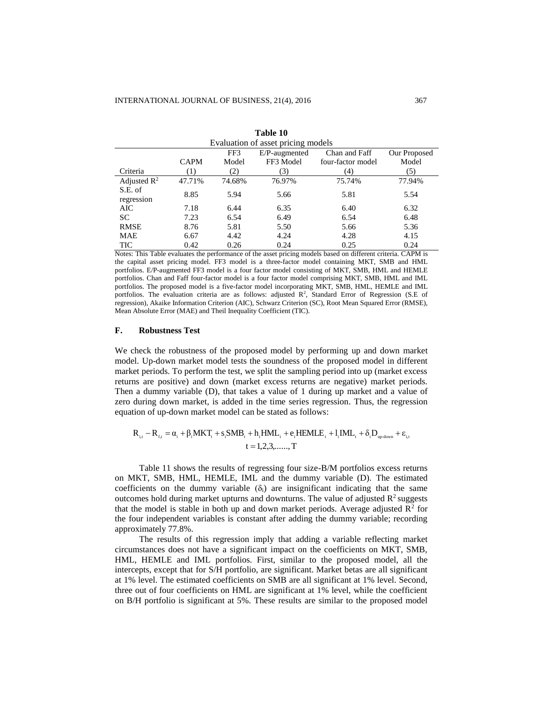| таше ту                            |             |        |               |                   |              |  |  |
|------------------------------------|-------------|--------|---------------|-------------------|--------------|--|--|
| Evaluation of asset pricing models |             |        |               |                   |              |  |  |
|                                    |             | FF3    | E/P-augmented | Chan and Faff     | Our Proposed |  |  |
|                                    | <b>CAPM</b> | Model  | FF3 Model     | four-factor model | Model        |  |  |
| Criteria                           | (1)         | (2)    | (3)           | (4)               | (5)          |  |  |
| Adjusted $\mathbb{R}^2$            | 47.71%      | 74.68% | 76.97%        | 75.74%            | 77.94%       |  |  |
| S.E. of<br>regression              | 8.85        | 5.94   | 5.66          | 5.81              | 5.54         |  |  |
| AIC                                | 7.18        | 6.44   | 6.35          | 6.40              | 6.32         |  |  |
| SC.                                | 7.23        | 6.54   | 6.49          | 6.54              | 6.48         |  |  |
| <b>RMSE</b>                        | 8.76        | 5.81   | 5.50          | 5.66              | 5.36         |  |  |
| <b>MAE</b>                         | 6.67        | 4.42   | 4.24          | 4.28              | 4.15         |  |  |
| TIC                                | 0.42        | 0.26   | 0.24          | 0.25              | 0.24         |  |  |

**Table 10**

Notes: This Table evaluates the performance of the asset pricing models based on different criteria. CAPM is the capital asset pricing model. FF3 model is a three-factor model containing MKT, SMB and HML portfolios. E/P-augmented FF3 model is a four factor model consisting of MKT, SMB, HML and HEMLE portfolios. Chan and Faff four-factor model is a four factor model comprising MKT, SMB, HML and IML portfolios. The proposed model is a five-factor model incorporating MKT, SMB, HML, HEMLE and IML portfolios. The evaluation criteria are as follows: adjusted  $\mathbb{R}^2$ , Standard Error of Regression (S.E of regression), Akaike Information Criterion (AIC), Schwarz Criterion (SC), Root Mean Squared Error (RMSE), Mean Absolute Error (MAE) and Theil Inequality Coefficient (TIC).

## **F. Robustness Test**

We check the robustness of the proposed model by performing up and down market model. Up-down market model tests the soundness of the proposed model in different market periods. To perform the test, we split the sampling period into up (market excess returns are positive) and down (market excess returns are negative) market periods. Then a dummy variable (D), that takes a value of 1 during up market and a value of zero during down market, is added in the time series regression. Thus, the regression equation of up-down market model can be stated as follows:

$$
\begin{aligned} R_{_{i,t}} - R_{_{f,t}} = \alpha_{_{i}} + \beta_{_{i}} MKT_{_{t}} + s_{_{i}}SMB_{_{t}} + h_{_{i}}HML_{_{t}} + e_{_{i}}HEMLE_{_{t}} + l_{_{i}}IML_{_{t}} + \delta_{_{i}}D_{_{up\text{-down}}} + \epsilon_{_{i,t}} \\ t = 1, &2, &3, \ldots \ldots, T \end{aligned}
$$

Table 11 shows the results of regressing four size-B/M portfolios excess returns on MKT, SMB, HML, HEMLE, IML and the dummy variable (D). The estimated coefficients on the dummy variable  $(\delta_i)$  are insignificant indicating that the same outcomes hold during market upturns and downturns. The value of adjusted  $\mathbb{R}^2$  suggests that the model is stable in both up and down market periods. Average adjusted  $\mathbb{R}^2$  for the four independent variables is constant after adding the dummy variable; recording approximately 77.8%.

The results of this regression imply that adding a variable reflecting market circumstances does not have a significant impact on the coefficients on MKT, SMB, HML, HEMLE and IML portfolios. First, similar to the proposed model, all the intercepts, except that for S/H portfolio, are significant. Market betas are all significant at 1% level. The estimated coefficients on SMB are all significant at 1% level. Second, three out of four coefficients on HML are significant at 1% level, while the coefficient on B/H portfolio is significant at 5%. These results are similar to the proposed model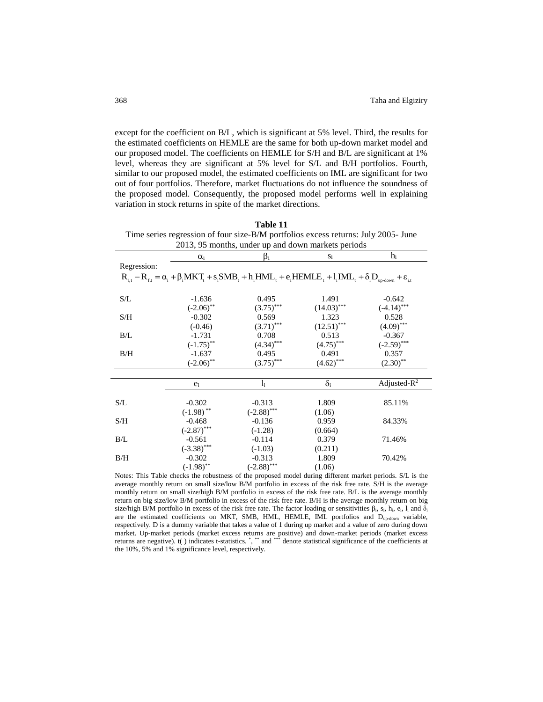except for the coefficient on B/L, which is significant at 5% level. Third, the results for the estimated coefficients on HEMLE are the same for both up-down market model and our proposed model. The coefficients on HEMLE for S/H and B/L are significant at 1% level, whereas they are significant at 5% level for S/L and B/H portfolios. Fourth, similar to our proposed model, the estimated coefficients on IML are significant for two out of four portfolios. Therefore, market fluctuations do not influence the soundness of the proposed model. Consequently, the proposed model performs well in explaining variation in stock returns in spite of the market directions.

| Time series regression of four size-B/M portfolios excess returns: July 2005- June<br>2013, 95 months, under up and down markets periods |                         |               |                            |                 |
|------------------------------------------------------------------------------------------------------------------------------------------|-------------------------|---------------|----------------------------|-----------------|
|                                                                                                                                          | $\alpha_i$              | Bi            | $S_i$                      | $h_i$           |
| Regression:                                                                                                                              |                         |               |                            |                 |
| $R_{i,t} - R_{f,t} = \alpha_i + \beta_i MKT_t + s_i SMB_t + h_i HML_t + e_i HEMLE_t + l_i IML_t + \delta_i D_{up-down} + \epsilon_{it}$  |                         |               |                            |                 |
| S/L                                                                                                                                      | $-1.636$                | 0.495         | 1.491                      | $-0.642$        |
|                                                                                                                                          | $(-2.06)$ **            | $(3.75)$ ***  | $(14.03)$ ***              | $(-4.14)$ ***   |
| S/H                                                                                                                                      | $-0.302$                | 0.569         | 1.323                      | 0.528           |
|                                                                                                                                          | $(-0.46)$               | $(3.71)$ ***  | $(12.51)$ ***              | $(4.09)$ ***    |
| B/L                                                                                                                                      | $-1.731$                | 0.708         | 0.513                      | $-0.367$        |
|                                                                                                                                          | $(-1.75)$ **            | $(.4.34)$ *** | $(4.75)$ ***               | $(-2.59)$ ***   |
| B/H                                                                                                                                      | $-1.637$                | 0.495         | 0.491                      | 0.357           |
|                                                                                                                                          | $(-2.06)$ **            | $(3.75)$ ***  | $\underline{(4.62)}^{***}$ | $(2.30)$ **     |
|                                                                                                                                          |                         |               |                            |                 |
|                                                                                                                                          | $e_i$                   | $l_i$         | $\delta_i$                 | Adjusted- $R^2$ |
| S/L                                                                                                                                      | $-0.302$                | $-0.313$      | 1.809                      | 85.11%          |
|                                                                                                                                          | $(-1.98)$ **            | $(-2.88)$ *** | (1.06)                     |                 |
| S/H                                                                                                                                      | $-0.468$                | $-0.136$      | 0.959                      | 84.33%          |
|                                                                                                                                          | $(-2.87)$ ***           | $(-1.28)$     | (0.664)                    |                 |
| B/L                                                                                                                                      | $-0.561$                | $-0.114$      | 0.379                      | 71.46%          |
|                                                                                                                                          | $(-3.38)$ ***           | $(-1.03)$     | (0.211)                    |                 |
| B/H                                                                                                                                      | $-0.302$                | $-0.313$      | 1.809                      | 70.42%          |
|                                                                                                                                          | $(-1.98)$ <sup>**</sup> | $(-2.88)$ *** | (1.06)                     |                 |

**Table 11**

Notes: This Table checks the robustness of the proposed model during different market periods. S/L is the average monthly return on small size/low B/M portfolio in excess of the risk free rate. S/H is the average monthly return on small size/high B/M portfolio in excess of the risk free rate. B/L is the average monthly return on big size/low B/M portfolio in excess of the risk free rate. B/H is the average monthly return on big size/high B/M portfolio in excess of the risk free rate. The factor loading or sensitivities  $\beta_i$ ,  $s_i$ ,  $h_i$ ,  $e_i$ ,  $l_i$  and  $\delta_i$ are the estimated coefficients on MKT, SMB, HML, HEMLE, IML portfolios and D<sub>up-down</sub> variable, respectively. D is a dummy variable that takes a value of 1 during up market and a value of zero during down market. Up-market periods (market excess returns are positive) and down-market periods (market excess returns are negative). (() indicates t-statistics. \*, \*\* and \*\*\* denote statistical significance of the coefficients at the 10%, 5% and 1% significance level, respectively.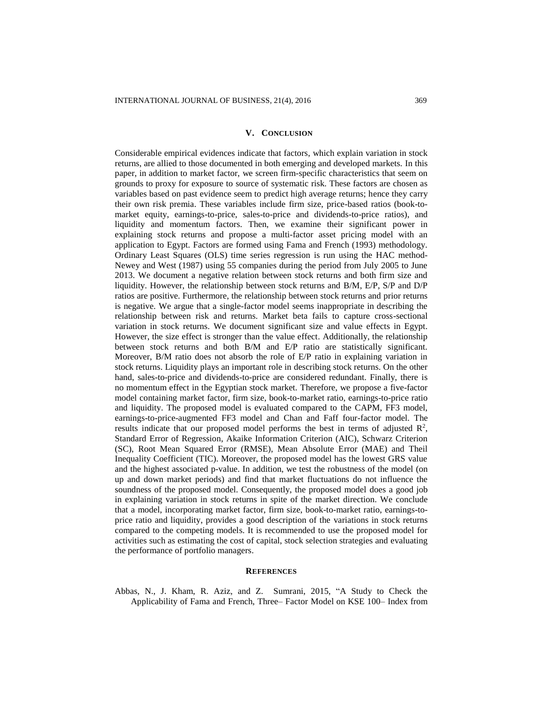#### **V. CONCLUSION**

Considerable empirical evidences indicate that factors, which explain variation in stock returns, are allied to those documented in both emerging and developed markets. In this paper, in addition to market factor, we screen firm-specific characteristics that seem on grounds to proxy for exposure to source of systematic risk. These factors are chosen as variables based on past evidence seem to predict high average returns; hence they carry their own risk premia. These variables include firm size, price-based ratios (book-tomarket equity, earnings-to-price, sales-to-price and dividends-to-price ratios), and liquidity and momentum factors. Then, we examine their significant power in explaining stock returns and propose a multi-factor asset pricing model with an application to Egypt. Factors are formed using Fama and French (1993) methodology. Ordinary Least Squares (OLS) time series regression is run using the HAC method-Newey and West (1987) using 55 companies during the period from July 2005 to June 2013. We document a negative relation between stock returns and both firm size and liquidity. However, the relationship between stock returns and B/M, E/P, S/P and D/P ratios are positive. Furthermore, the relationship between stock returns and prior returns is negative. We argue that a single-factor model seems inappropriate in describing the relationship between risk and returns. Market beta fails to capture cross-sectional variation in stock returns. We document significant size and value effects in Egypt. However, the size effect is stronger than the value effect. Additionally, the relationship between stock returns and both B/M and E/P ratio are statistically significant. Moreover, B/M ratio does not absorb the role of E/P ratio in explaining variation in stock returns. Liquidity plays an important role in describing stock returns. On the other hand, sales-to-price and dividends-to-price are considered redundant. Finally, there is no momentum effect in the Egyptian stock market. Therefore, we propose a five-factor model containing market factor, firm size, book-to-market ratio, earnings-to-price ratio and liquidity. The proposed model is evaluated compared to the CAPM, FF3 model, earnings-to-price-augmented FF3 model and Chan and Faff four-factor model. The results indicate that our proposed model performs the best in terms of adjusted  $\mathbb{R}^2$ , Standard Error of Regression, Akaike Information Criterion (AIC), Schwarz Criterion (SC), Root Mean Squared Error (RMSE), Mean Absolute Error (MAE) and Theil Inequality Coefficient (TIC). Moreover, the proposed model has the lowest GRS value and the highest associated p-value. In addition, we test the robustness of the model (on up and down market periods) and find that market fluctuations do not influence the soundness of the proposed model. Consequently, the proposed model does a good job in explaining variation in stock returns in spite of the market direction. We conclude that a model, incorporating market factor, firm size, book-to-market ratio, earnings-toprice ratio and liquidity, provides a good description of the variations in stock returns compared to the competing models. It is recommended to use the proposed model for activities such as estimating the cost of capital, stock selection strategies and evaluating the performance of portfolio managers.

# **REFERENCES**

Abbas, N., J. Kham, R. Aziz, and Z. Sumrani, 2015, "A Study to Check the Applicability of Fama and French, Three– Factor Model on KSE 100– Index from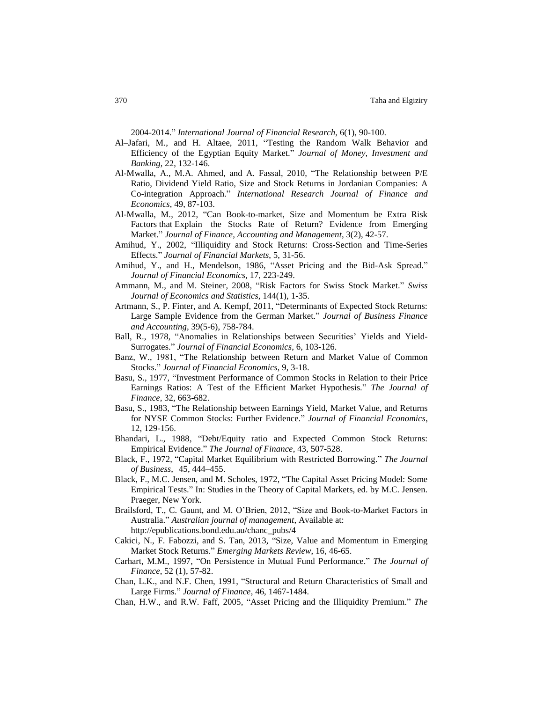2004-2014." *International Journal of Financial Research*, 6(1), 90-100.

- Al–Jafari, M., and H. Altaee, 2011, "Testing the Random Walk Behavior and Efficiency of the Egyptian Equity Market." *Journal of Money, Investment and Banking,* 22, 132-146.
- Al-Mwalla, A., M.A. Ahmed, and A. Fassal, 2010, "The Relationship between P/E Ratio, Dividend Yield Ratio, Size and Stock Returns in Jordanian Companies: A Co-integration Approach." *International Research Journal of Finance and Economics*, 49, 87-103.
- Al-Mwalla, M., 2012, "Can Book-to-market, Size and Momentum be Extra Risk Factors that Explain the Stocks Rate of Return? Evidence from Emerging Market." *Journal of Finance, Accounting and Management*, 3(2), 42-57.
- Amihud, Y., 2002, "Illiquidity and Stock Returns: Cross-Section and Time-Series Effects." *Journal of Financial Markets*, 5, 31-56.
- Amihud, Y., and H., Mendelson, 1986, "Asset Pricing and the Bid-Ask Spread." *Journal of Financial Economics*, 17, 223-249.
- Ammann, M., and M. Steiner, 2008, "Risk Factors for Swiss Stock Market." *Swiss Journal of Economics and Statistics*, 144(1), 1-35.
- Artmann, S., P. Finter, and A. Kempf, 2011, "Determinants of Expected Stock Returns: Large Sample Evidence from the German Market." *Journal of Business Finance and Accounting*, 39(5‐6), 758-784.
- Ball, R., 1978, "Anomalies in Relationships between Securities' Yields and Yield-Surrogates." *Journal of Financial Economics*, 6, 103-126.
- Banz, W., 1981, "The Relationship between Return and Market Value of Common Stocks." *Journal of Financial Economics*, 9, 3-18.
- Basu, S., 1977, "Investment Performance of Common Stocks in Relation to their Price Earnings Ratios: A Test of the Efficient Market Hypothesis." *The Journal of Finance*, 32, 663-682.
- Basu, S., 1983, "The Relationship between Earnings Yield, Market Value, and Returns for NYSE Common Stocks: Further Evidence." *Journal of Financial Economics*, 12, 129-156.
- Bhandari, L., 1988, "Debt/Equity ratio and Expected Common Stock Returns: Empirical Evidence." *The Journal of Finance*, 43, 507-528.
- Black, F., 1972, "Capital Market Equilibrium with Restricted Borrowing." *The Journal of Business*, 45, 444–455.
- Black, F., M.C. Jensen, and M. Scholes, 1972, "The Capital Asset Pricing Model: Some Empirical Tests." In: Studies in the Theory of Capital Markets, ed. by M.C. Jensen. Praeger, New York.
- Brailsford, T., C. Gaunt, and M. O'Brien, 2012, "Size and Book-to-Market Factors in Australia." *Australian journal of management*, Available at: http://epublications.bond.edu.au/chanc\_pubs/4
- Cakici, N., F. Fabozzi, and S. Tan, 2013, "Size, Value and Momentum in Emerging Market Stock Returns." *Emerging Markets Review*, 16, 46-65.
- Carhart, M.M., 1997, "On Persistence in Mutual Fund Performance." *The Journal of Finance*, 52 (1), 57-82.
- Chan, L.K., and N.F. Chen, 1991, "Structural and Return Characteristics of Small and Large Firms." *Journal of Finance*, 46, 1467-1484.
- Chan, H.W., and R.W. Faff, 2005, "Asset Pricing and the Illiquidity Premium." *The*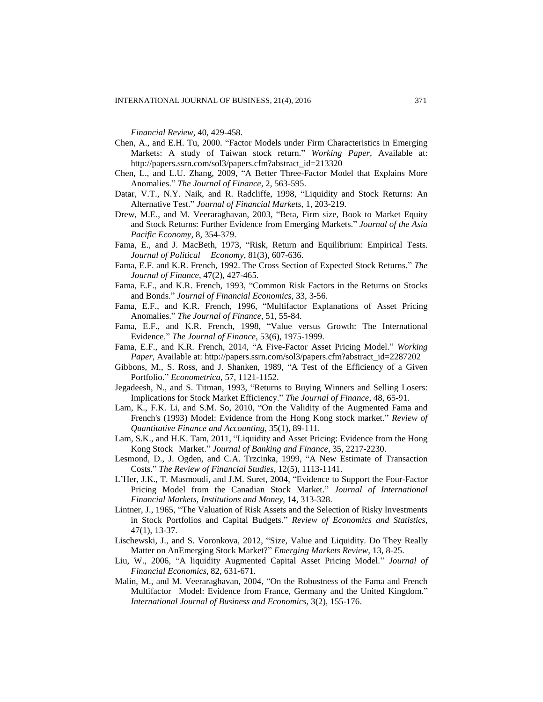*Financial Review*, 40, 429-458.

- Chen, A., and E.H. Tu, 2000. "Factor Models under Firm Characteristics in Emerging Markets: A study of Taiwan stock return." *Working Paper,* Available at: [http://papers.ssrn.com/sol3/papers.cfm?abstract\\_id=213320](http://papers.ssrn.com/sol3/papers.cfm?abstract_id=213320)
- Chen, L., and L.U. Zhang, 2009, "A Better Three-Factor Model that Explains More Anomalies." *The Journal of Finance*, 2, 563-595.
- Datar, V.T., N.Y. Naik, and R. Radcliffe, 1998, "Liquidity and Stock Returns: An Alternative Test." *Journal of Financial Markets*, 1, 203-219.
- Drew, M.E., and M. Veeraraghavan, 2003, "Beta, Firm size, Book to Market Equity and Stock Returns: Further Evidence from Emerging Markets." *Journal of the Asia Pacific Economy*, 8, 354-379.
- Fama, E., and J. MacBeth, 1973, "Risk, Return and Equilibrium: Empirical Tests. *Journal of Political Economy*, 81(3), 607-636.
- Fama, E.F. and K.R. French, 1992. The Cross Section of Expected Stock Returns." *The Journal of Finance*, 47(2), 427-465.
- Fama, E.F., and K.R. French, 1993, "Common Risk Factors in the Returns on Stocks and Bonds." *Journal of Financial Economics*, 33, 3-56.
- Fama, E.F., and K.R. French, 1996, "Multifactor Explanations of Asset Pricing Anomalies." *The Journal of Finance*, 51, 55-84.
- Fama, E.F., and K.R. French, 1998, "Value versus Growth: The International Evidence." *The Journal of Finance*, 53(6), 1975-1999.
- Fama, E.F., and K.R. French, 2014, "A Five-Factor Asset Pricing Model." *Working Paper,* Available at: [http://papers.ssrn.com/sol3/papers.cfm?abstract\\_id=2287202](http://papers.ssrn.com/sol3/papers.cfm?abstract_id=2287202)
- Gibbons, M., S. Ross, and J. Shanken, 1989, "A Test of the Efficiency of a Given Portfolio." *Econometrica*, 57, 1121-1152.
- Jegadeesh, N., and S. Titman, 1993, "Returns to Buying Winners and Selling Losers: Implications for Stock Market Efficiency." *The Journal of Finance*, 48, 65-91.
- Lam, K., F.K. Li, and S.M. So, 2010, "On the Validity of the Augmented Fama and French's (1993) Model: Evidence from the Hong Kong stock market." *Review of Quantitative Finance and Accounting*, 35(1), 89-111.
- Lam, S.K., and H.K. Tam, 2011, "Liquidity and Asset Pricing: Evidence from the Hong Kong Stock Market." *Journal of Banking and Finance*, 35, 2217-2230.
- Lesmond, D., J. Ogden, and C.A. Trzcinka, 1999, "A New Estimate of Transaction Costs." *The Review of Financial Studies*, 12(5), 1113-1141.
- L'Her, J.K., T. Masmoudi, and J.M. Suret, 2004, "Evidence to Support the Four-Factor Pricing Model from the Canadian Stock Market." *Journal of International Financial Markets, Institutions and Money*, 14, 313-328.
- Lintner, J., 1965, "The Valuation of Risk Assets and the Selection of Risky Investments in Stock Portfolios and Capital Budgets." *Review of Economics and Statistics*, 47(1), 13-37.
- Lischewski, J., and S. Voronkova, 2012, "Size, Value and Liquidity. Do They Really Matter on AnEmerging Stock Market?" *Emerging Markets Review*, 13, 8-25.
- Liu, W., 2006, "A liquidity Augmented Capital Asset Pricing Model." *Journal of Financial Economics*, 82, 631-671.
- Malin, M., and M. Veeraraghavan, 2004, "On the Robustness of the Fama and French Multifactor Model: Evidence from France, Germany and the United Kingdom." *International Journal of Business and Economics*, 3(2), 155-176.